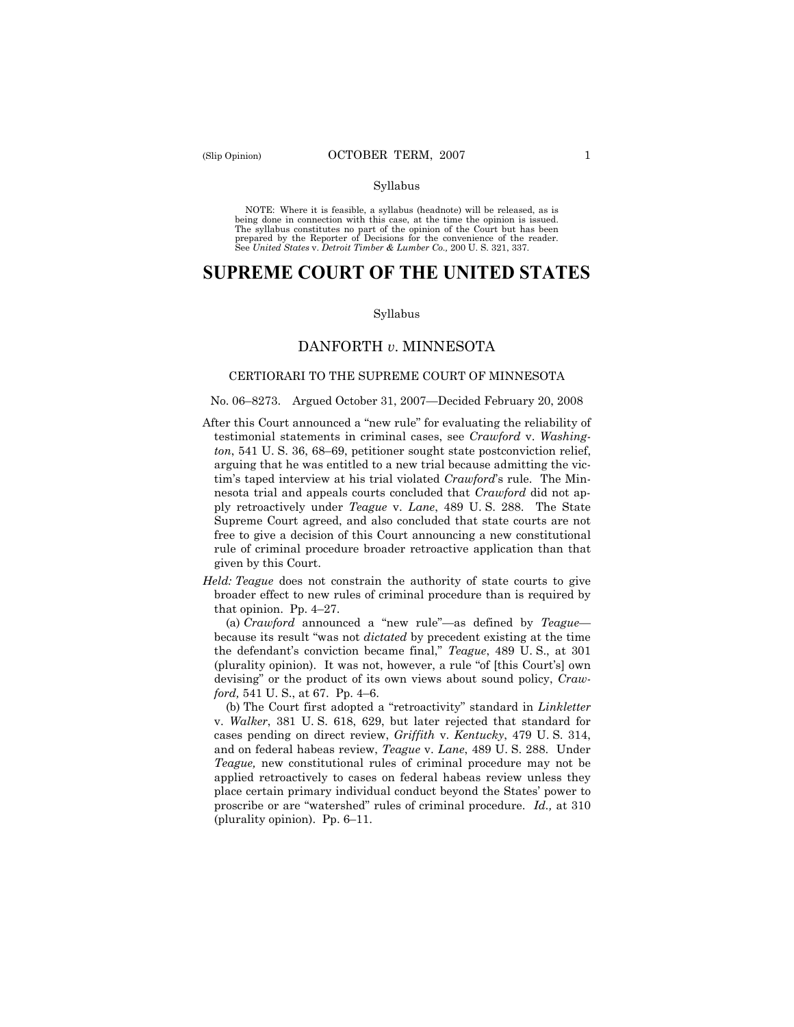#### Syllabus

NOTE: Where it is feasible, a syllabus (headnote) will be released, as is being done in connection with this case, at the time the opinion is issued. The syllabus constitutes no part of the opinion of the Court but has been<br>prepared by the Reporter of Decisions for the convenience of the reader.<br>See United States v. Detroit Timber & Lumber Co., 200 U. S. 321, 337.

# **SUPREME COURT OF THE UNITED STATES**

#### Syllabus

### DANFORTH *v*. MINNESOTA

### CERTIORARI TO THE SUPREME COURT OF MINNESOTA

### No. 06–8273. Argued October 31, 2007—Decided February 20, 2008

- After this Court announced a "new rule" for evaluating the reliability of testimonial statements in criminal cases, see *Crawford* v. *Washington*, 541 U. S. 36, 68–69, petitioner sought state postconviction relief, arguing that he was entitled to a new trial because admitting the victim's taped interview at his trial violated *Crawford*'s rule. The Minnesota trial and appeals courts concluded that *Crawford* did not apply retroactively under *Teague* v. *Lane*, 489 U. S. 288. The State Supreme Court agreed, and also concluded that state courts are not free to give a decision of this Court announcing a new constitutional rule of criminal procedure broader retroactive application than that given by this Court.
- *Held: Teague* does not constrain the authority of state courts to give broader effect to new rules of criminal procedure than is required by that opinion. Pp. 4–27.

 (a) *Crawford* announced a "new rule"—as defined by *Teague* because its result "was not *dictated* by precedent existing at the time the defendant's conviction became final," *Teague*, 489 U. S., at 301 (plurality opinion). It was not, however, a rule "of [this Court's] own devising" or the product of its own views about sound policy, *Crawford,* 541 U. S., at 67. Pp. 4–6.

 (b) The Court first adopted a "retroactivity" standard in *Linkletter* v. *Walker*, 381 U. S. 618, 629, but later rejected that standard for cases pending on direct review, *Griffith* v. *Kentucky*, 479 U. S. 314, and on federal habeas review, *Teague* v. *Lane*, 489 U. S. 288. Under *Teague,* new constitutional rules of criminal procedure may not be applied retroactively to cases on federal habeas review unless they place certain primary individual conduct beyond the States' power to proscribe or are "watershed" rules of criminal procedure. *Id.,* at 310 (plurality opinion). Pp. 6–11.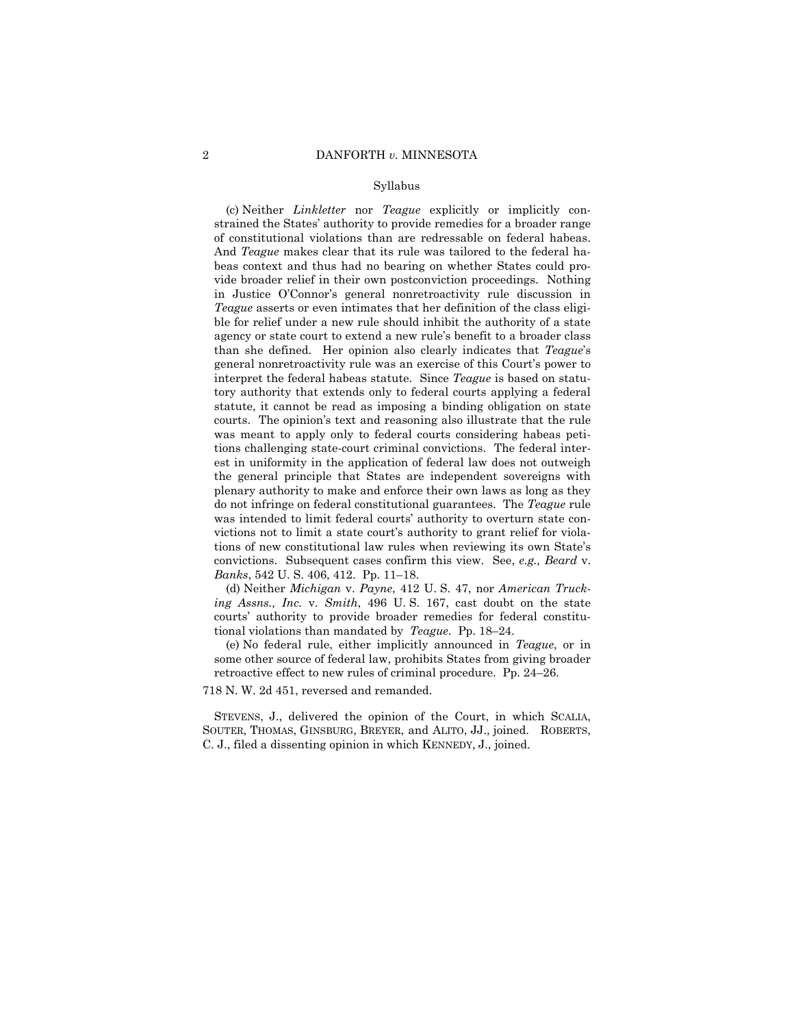#### Syllabus

 (c) Neither *Linkletter* nor *Teague* explicitly or implicitly constrained the States' authority to provide remedies for a broader range of constitutional violations than are redressable on federal habeas. And *Teague* makes clear that its rule was tailored to the federal habeas context and thus had no bearing on whether States could provide broader relief in their own postconviction proceedings. Nothing in Justice O'Connor's general nonretroactivity rule discussion in *Teague* asserts or even intimates that her definition of the class eligible for relief under a new rule should inhibit the authority of a state agency or state court to extend a new rule's benefit to a broader class than she defined. Her opinion also clearly indicates that *Teague*'s general nonretroactivity rule was an exercise of this Court's power to interpret the federal habeas statute. Since *Teague* is based on statutory authority that extends only to federal courts applying a federal statute, it cannot be read as imposing a binding obligation on state courts. The opinion's text and reasoning also illustrate that the rule was meant to apply only to federal courts considering habeas petitions challenging state-court criminal convictions. The federal interest in uniformity in the application of federal law does not outweigh the general principle that States are independent sovereigns with plenary authority to make and enforce their own laws as long as they do not infringe on federal constitutional guarantees. The *Teague* rule was intended to limit federal courts' authority to overturn state convictions not to limit a state court's authority to grant relief for violations of new constitutional law rules when reviewing its own State's convictions. Subsequent cases confirm this view. See, *e.g., Beard* v. *Banks*, 542 U. S. 406, 412. Pp. 11–18.

 (d) Neither *Michigan* v. *Payne*, 412 U. S. 47, nor *American Trucking Assns., Inc.* v. *Smith*, 496 U. S. 167, cast doubt on the state courts' authority to provide broader remedies for federal constitutional violations than mandated by *Teague.* Pp. 18–24.

 (e) No federal rule, either implicitly announced in *Teague*, or in some other source of federal law, prohibits States from giving broader retroactive effect to new rules of criminal procedure. Pp. 24–26.

718 N. W. 2d 451, reversed and remanded.

 STEVENS, J., delivered the opinion of the Court, in which SCALIA, SOUTER, THOMAS, GINSBURG, BREYER, and ALITO, JJ., joined. ROBERTS, C. J., filed a dissenting opinion in which KENNEDY, J., joined.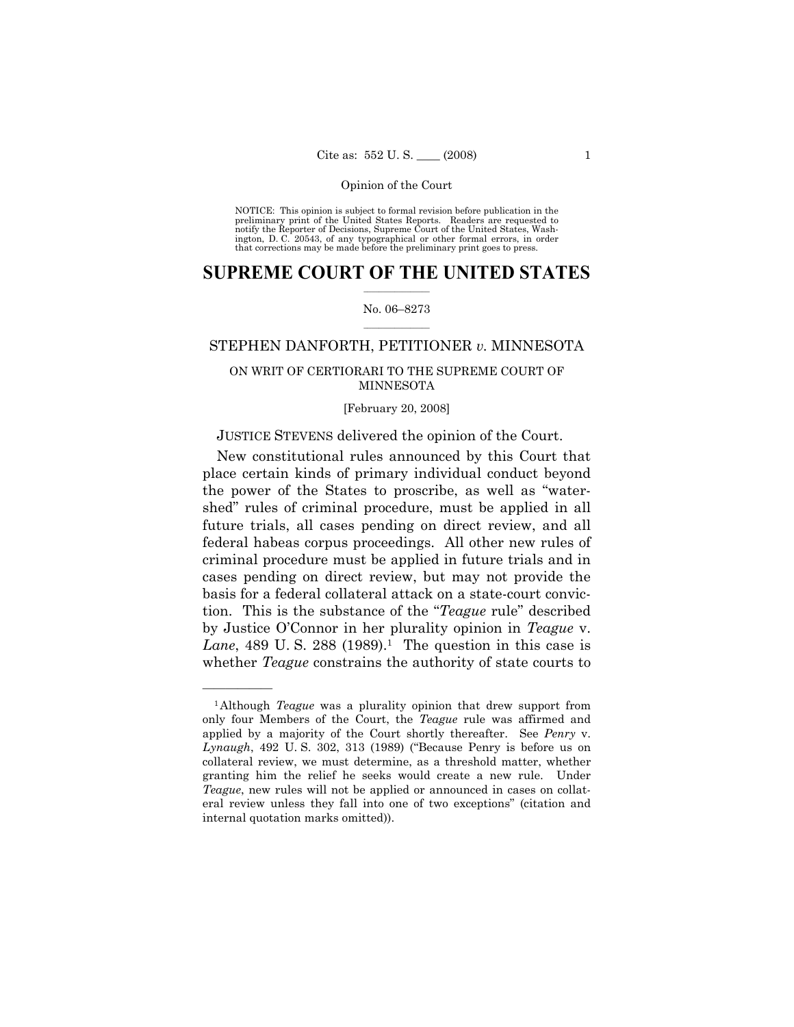NOTICE: This opinion is subject to formal revision before publication in the preliminary print of the United States Reports. Readers are requested to notify the Reporter of Decisions, Supreme Court of the United States, Washington, D. C. 20543, of any typographical or other formal errors, in order that corrections may be made before the preliminary print goes to press.

### **SUPREME COURT OF THE UNITED STATES**  $\frac{1}{2}$  , where  $\frac{1}{2}$

### No. 06–8273  $\frac{1}{2}$  ,  $\frac{1}{2}$  ,  $\frac{1}{2}$  ,  $\frac{1}{2}$  ,  $\frac{1}{2}$  ,  $\frac{1}{2}$

### STEPHEN DANFORTH, PETITIONER *v.* MINNESOTA

# ON WRIT OF CERTIORARI TO THE SUPREME COURT OF MINNESOTA

[February 20, 2008]

### JUSTICE STEVENS delivered the opinion of the Court.

 New constitutional rules announced by this Court that place certain kinds of primary individual conduct beyond the power of the States to proscribe, as well as "watershed" rules of criminal procedure, must be applied in all future trials, all cases pending on direct review, and all federal habeas corpus proceedings. All other new rules of criminal procedure must be applied in future trials and in cases pending on direct review, but may not provide the basis for a federal collateral attack on a state-court conviction. This is the substance of the "*Teague* rule" described by Justice O'Connor in her plurality opinion in *Teague* v. *Lane*, 489 U.S. 288 (1989).<sup>1</sup> The question in this case is whether *Teague* constrains the authority of state courts to

<sup>1</sup>Although *Teague* was a plurality opinion that drew support from only four Members of the Court, the *Teague* rule was affirmed and applied by a majority of the Court shortly thereafter. See *Penry* v. *Lynaugh*, 492 U. S. 302, 313 (1989) ("Because Penry is before us on collateral review, we must determine, as a threshold matter, whether granting him the relief he seeks would create a new rule. Under *Teague*, new rules will not be applied or announced in cases on collateral review unless they fall into one of two exceptions" (citation and internal quotation marks omitted)).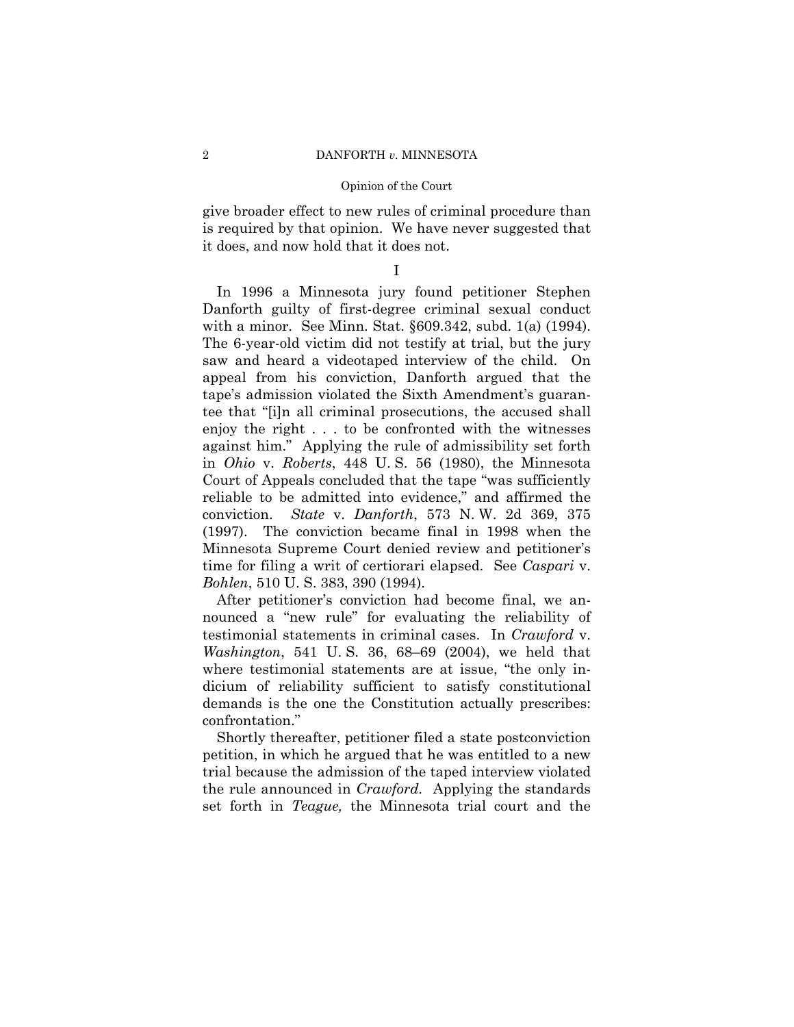give broader effect to new rules of criminal procedure than is required by that opinion. We have never suggested that it does, and now hold that it does not.

I

 In 1996 a Minnesota jury found petitioner Stephen Danforth guilty of first-degree criminal sexual conduct with a minor. See Minn. Stat. §609.342, subd. 1(a) (1994). The 6-year-old victim did not testify at trial, but the jury saw and heard a videotaped interview of the child. On appeal from his conviction, Danforth argued that the tape's admission violated the Sixth Amendment's guarantee that "[i]n all criminal prosecutions, the accused shall enjoy the right . . . to be confronted with the witnesses against him." Applying the rule of admissibility set forth in *Ohio* v. *Roberts*, 448 U. S. 56 (1980), the Minnesota Court of Appeals concluded that the tape "was sufficiently reliable to be admitted into evidence," and affirmed the conviction. *State* v. *Danforth*, 573 N. W. 2d 369, 375 (1997). The conviction became final in 1998 when the Minnesota Supreme Court denied review and petitioner's time for filing a writ of certiorari elapsed. See *Caspari* v. *Bohlen*, 510 U. S. 383, 390 (1994).

 After petitioner's conviction had become final, we announced a "new rule" for evaluating the reliability of testimonial statements in criminal cases. In *Crawford* v. *Washington*, 541 U. S. 36, 68–69 (2004), we held that where testimonial statements are at issue, "the only indicium of reliability sufficient to satisfy constitutional demands is the one the Constitution actually prescribes: confrontation."

 Shortly thereafter, petitioner filed a state postconviction petition, in which he argued that he was entitled to a new trial because the admission of the taped interview violated the rule announced in *Crawford.* Applying the standards set forth in *Teague,* the Minnesota trial court and the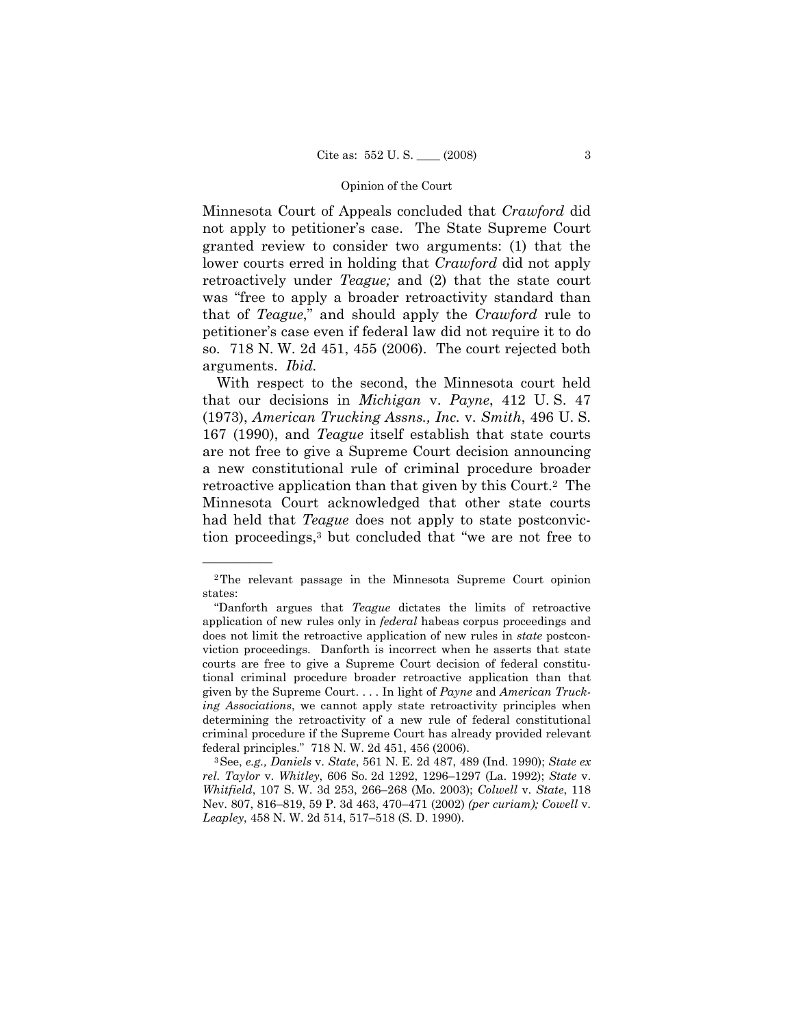Minnesota Court of Appeals concluded that *Crawford* did not apply to petitioner's case. The State Supreme Court granted review to consider two arguments: (1) that the lower courts erred in holding that *Crawford* did not apply retroactively under *Teague;* and (2) that the state court was "free to apply a broader retroactivity standard than that of *Teague*," and should apply the *Crawford* rule to petitioner's case even if federal law did not require it to do so. 718 N. W. 2d 451, 455 (2006). The court rejected both arguments. *Ibid.* 

 With respect to the second, the Minnesota court held that our decisions in *Michigan* v. *Payne*, 412 U. S. 47 (1973), *American Trucking Assns., Inc.* v. *Smith*, 496 U. S. 167 (1990), and *Teague* itself establish that state courts are not free to give a Supreme Court decision announcing a new constitutional rule of criminal procedure broader retroactive application than that given by this Court.2 The Minnesota Court acknowledged that other state courts had held that *Teague* does not apply to state postconviction proceedings,3 but concluded that "we are not free to

<sup>2</sup>The relevant passage in the Minnesota Supreme Court opinion states:

 <sup>&</sup>quot;Danforth argues that *Teague* dictates the limits of retroactive application of new rules only in *federal* habeas corpus proceedings and does not limit the retroactive application of new rules in *state* postconviction proceedings. Danforth is incorrect when he asserts that state courts are free to give a Supreme Court decision of federal constitutional criminal procedure broader retroactive application than that given by the Supreme Court. . . . In light of *Payne* and *American Trucking Associations*, we cannot apply state retroactivity principles when determining the retroactivity of a new rule of federal constitutional criminal procedure if the Supreme Court has already provided relevant

federal principles." 718 N. W. 2d 451, 456 (2006). 3See, *e.g., Daniels* v. *State*, 561 N. E. 2d 487, 489 (Ind. 1990); *State ex rel. Taylor* v. *Whitley*, 606 So. 2d 1292, 1296–1297 (La. 1992); *State* v. *Whitfield*, 107 S. W. 3d 253, 266–268 (Mo. 2003); *Colwell* v. *State*, 118 Nev. 807, 816–819, 59 P. 3d 463, 470–471 (2002) *(per curiam); Cowell* v. *Leapley*, 458 N. W. 2d 514, 517–518 (S. D. 1990).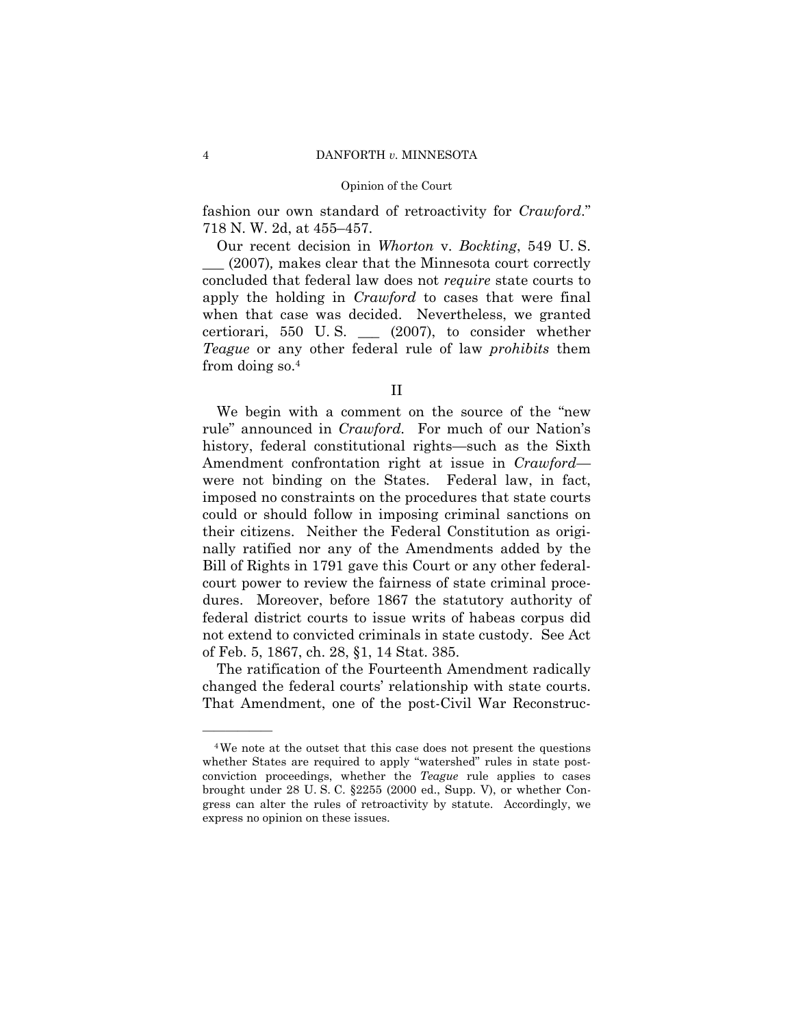fashion our own standard of retroactivity for *Crawford*." 718 N. W. 2d, at 455–457.

 Our recent decision in *Whorton* v. *Bockting*, 549 U. S. \_\_\_ (2007)*,* makes clear that the Minnesota court correctly concluded that federal law does not *require* state courts to apply the holding in *Crawford* to cases that were final when that case was decided. Nevertheless, we granted certiorari, 550 U. S. \_\_\_ (2007), to consider whether *Teague* or any other federal rule of law *prohibits* them from doing so.4

 We begin with a comment on the source of the "new rule" announced in *Crawford.* For much of our Nation's history, federal constitutional rights—such as the Sixth Amendment confrontation right at issue in *Crawford* were not binding on the States. Federal law, in fact, imposed no constraints on the procedures that state courts could or should follow in imposing criminal sanctions on their citizens. Neither the Federal Constitution as originally ratified nor any of the Amendments added by the Bill of Rights in 1791 gave this Court or any other federalcourt power to review the fairness of state criminal procedures. Moreover, before 1867 the statutory authority of federal district courts to issue writs of habeas corpus did not extend to convicted criminals in state custody. See Act of Feb. 5, 1867, ch. 28, §1, 14 Stat. 385.

 The ratification of the Fourteenth Amendment radically changed the federal courts' relationship with state courts. That Amendment, one of the post-Civil War Reconstruc-

II

<sup>4</sup>We note at the outset that this case does not present the questions whether States are required to apply "watershed" rules in state postconviction proceedings, whether the *Teague* rule applies to cases brought under 28 U. S. C. §2255 (2000 ed., Supp. V), or whether Congress can alter the rules of retroactivity by statute. Accordingly, we express no opinion on these issues.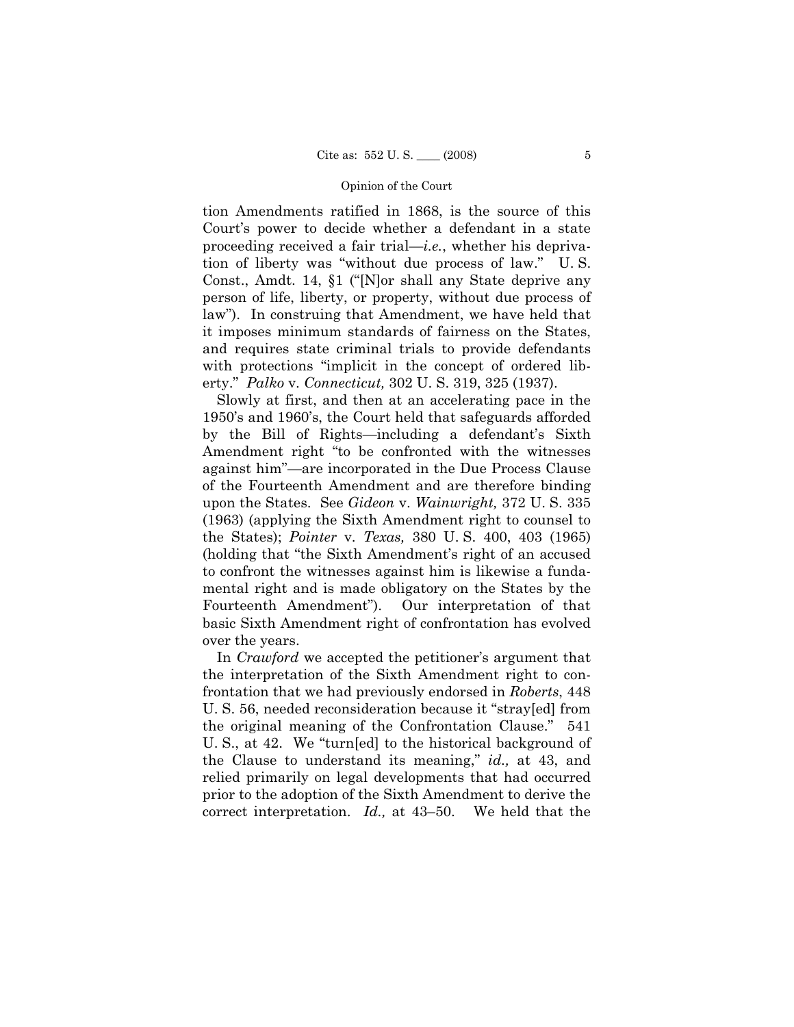tion Amendments ratified in 1868, is the source of this Court's power to decide whether a defendant in a state proceeding received a fair trial—*i.e.*, whether his deprivation of liberty was "without due process of law." U. S. Const., Amdt. 14, §1 ("[N]or shall any State deprive any person of life, liberty, or property, without due process of law"). In construing that Amendment, we have held that it imposes minimum standards of fairness on the States, and requires state criminal trials to provide defendants with protections "implicit in the concept of ordered liberty." *Palko* v. *Connecticut,* 302 U. S. 319, 325 (1937).

 Slowly at first, and then at an accelerating pace in the 1950's and 1960's, the Court held that safeguards afforded by the Bill of Rights—including a defendant's Sixth Amendment right "to be confronted with the witnesses against him"—are incorporated in the Due Process Clause of the Fourteenth Amendment and are therefore binding upon the States. See *Gideon* v. *Wainwright,* 372 U. S. 335 (1963) (applying the Sixth Amendment right to counsel to the States); *Pointer* v. *Texas,* 380 U. S. 400, 403 (1965) (holding that "the Sixth Amendment's right of an accused to confront the witnesses against him is likewise a fundamental right and is made obligatory on the States by the Fourteenth Amendment"). Our interpretation of that basic Sixth Amendment right of confrontation has evolved over the years.

 In *Crawford* we accepted the petitioner's argument that the interpretation of the Sixth Amendment right to confrontation that we had previously endorsed in *Roberts*, 448 U. S. 56, needed reconsideration because it "stray[ed] from the original meaning of the Confrontation Clause." 541 U. S., at 42. We "turn[ed] to the historical background of the Clause to understand its meaning," *id.,* at 43, and relied primarily on legal developments that had occurred prior to the adoption of the Sixth Amendment to derive the correct interpretation. *Id.,* at 43–50. We held that the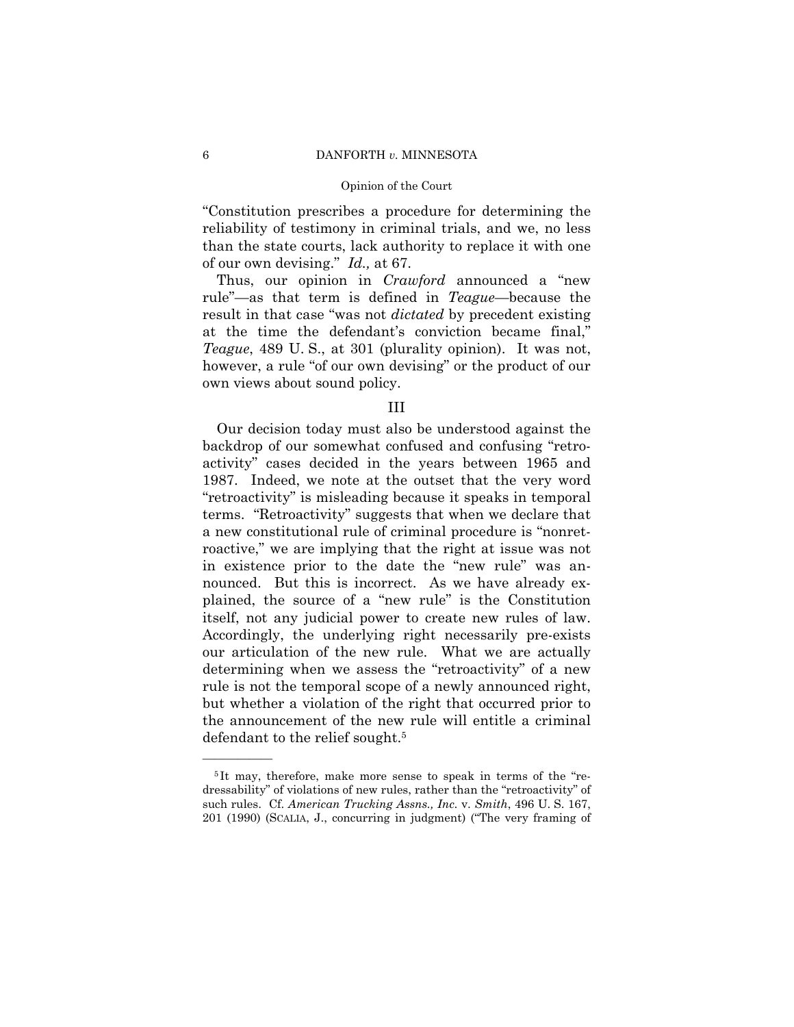### 6 DANFORTH *v.* MINNESOTA

### Opinion of the Court

"Constitution prescribes a procedure for determining the reliability of testimony in criminal trials, and we, no less than the state courts, lack authority to replace it with one of our own devising." *Id.,* at 67.

 Thus, our opinion in *Crawford* announced a "new rule"—as that term is defined in *Teague*—because the result in that case "was not *dictated* by precedent existing at the time the defendant's conviction became final," *Teague*, 489 U. S., at 301 (plurality opinion). It was not, however, a rule "of our own devising" or the product of our own views about sound policy.

### III

 Our decision today must also be understood against the backdrop of our somewhat confused and confusing "retroactivity" cases decided in the years between 1965 and 1987. Indeed, we note at the outset that the very word "retroactivity" is misleading because it speaks in temporal terms. "Retroactivity" suggests that when we declare that a new constitutional rule of criminal procedure is "nonretroactive," we are implying that the right at issue was not in existence prior to the date the "new rule" was announced. But this is incorrect. As we have already explained, the source of a "new rule" is the Constitution itself, not any judicial power to create new rules of law. Accordingly, the underlying right necessarily pre-exists our articulation of the new rule. What we are actually determining when we assess the "retroactivity" of a new rule is not the temporal scope of a newly announced right, but whether a violation of the right that occurred prior to the announcement of the new rule will entitle a criminal defendant to the relief sought.<sup>5</sup>

<sup>5</sup> It may, therefore, make more sense to speak in terms of the "redressability" of violations of new rules, rather than the "retroactivity" of such rules. Cf. *American Trucking Assns., Inc.* v. *Smith*, 496 U. S. 167, 201 (1990) (SCALIA, J., concurring in judgment) ("The very framing of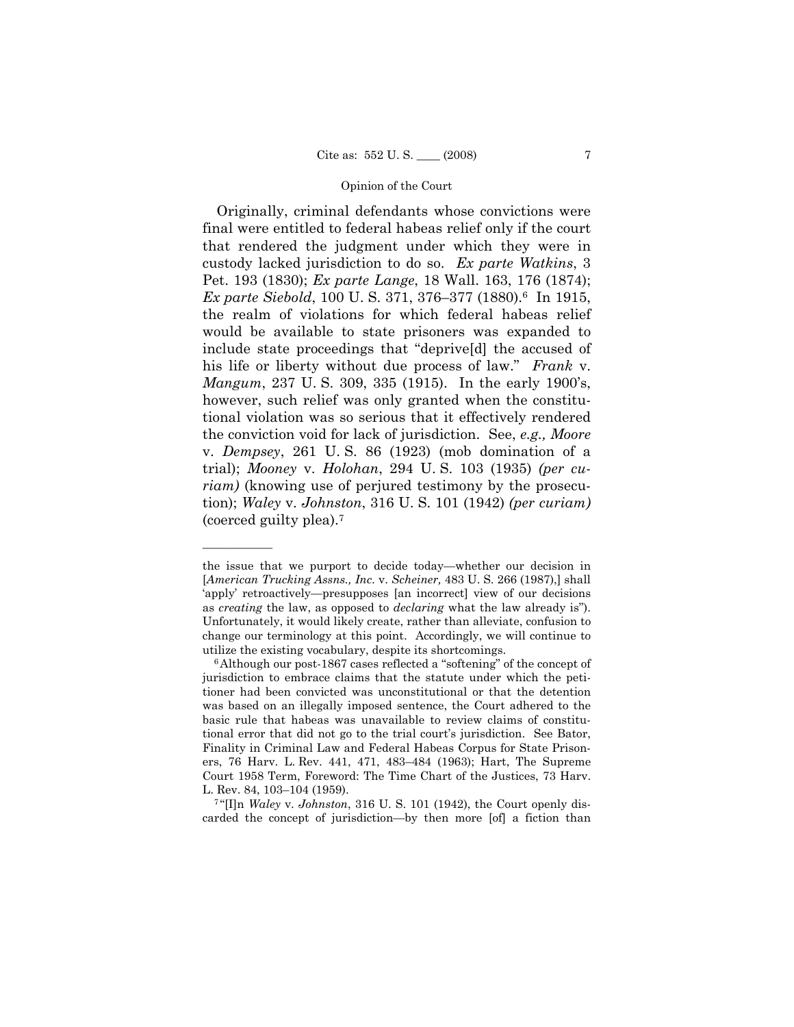Originally, criminal defendants whose convictions were final were entitled to federal habeas relief only if the court that rendered the judgment under which they were in custody lacked jurisdiction to do so. *Ex parte Watkins*, 3 Pet. 193 (1830); *Ex parte Lange*, 18 Wall. 163, 176 (1874); *Ex parte Siebold*, 100 U. S. 371, 376–377 (1880).6 In 1915, the realm of violations for which federal habeas relief would be available to state prisoners was expanded to include state proceedings that "deprive[d] the accused of his life or liberty without due process of law." *Frank* v. *Mangum*, 237 U. S. 309, 335 (1915). In the early 1900's, however, such relief was only granted when the constitutional violation was so serious that it effectively rendered the conviction void for lack of jurisdiction. See, *e.g., Moore* v. *Dempsey*, 261 U. S. 86 (1923) (mob domination of a trial); *Mooney* v. *Holohan*, 294 U. S. 103 (1935) *(per curiam)* (knowing use of perjured testimony by the prosecution); *Waley* v. *Johnston*, 316 U. S. 101 (1942) *(per curiam)* (coerced guilty plea).7

the issue that we purport to decide today—whether our decision in [*American Trucking Assns., Inc.* v. *Scheiner,* 483 U. S. 266 (1987),] shall 'apply' retroactively—presupposes [an incorrect] view of our decisions as *creating* the law, as opposed to *declaring* what the law already is"). Unfortunately, it would likely create, rather than alleviate, confusion to change our terminology at this point. Accordingly, we will continue to utilize the existing vocabulary, despite its shortcomings. 6Although our post-1867 cases reflected a "softening" of the concept of

jurisdiction to embrace claims that the statute under which the petitioner had been convicted was unconstitutional or that the detention was based on an illegally imposed sentence, the Court adhered to the basic rule that habeas was unavailable to review claims of constitutional error that did not go to the trial court's jurisdiction. See Bator, Finality in Criminal Law and Federal Habeas Corpus for State Prisoners, 76 Harv. L. Rev. 441, 471, 483–484 (1963); Hart, The Supreme Court 1958 Term, Foreword: The Time Chart of the Justices, 73 Harv.

L. Rev. 84, 103–104 (1959). 7 "[I]n *Waley* v. *Johnston*, 316 U. S. 101 (1942), the Court openly discarded the concept of jurisdiction—by then more [of] a fiction than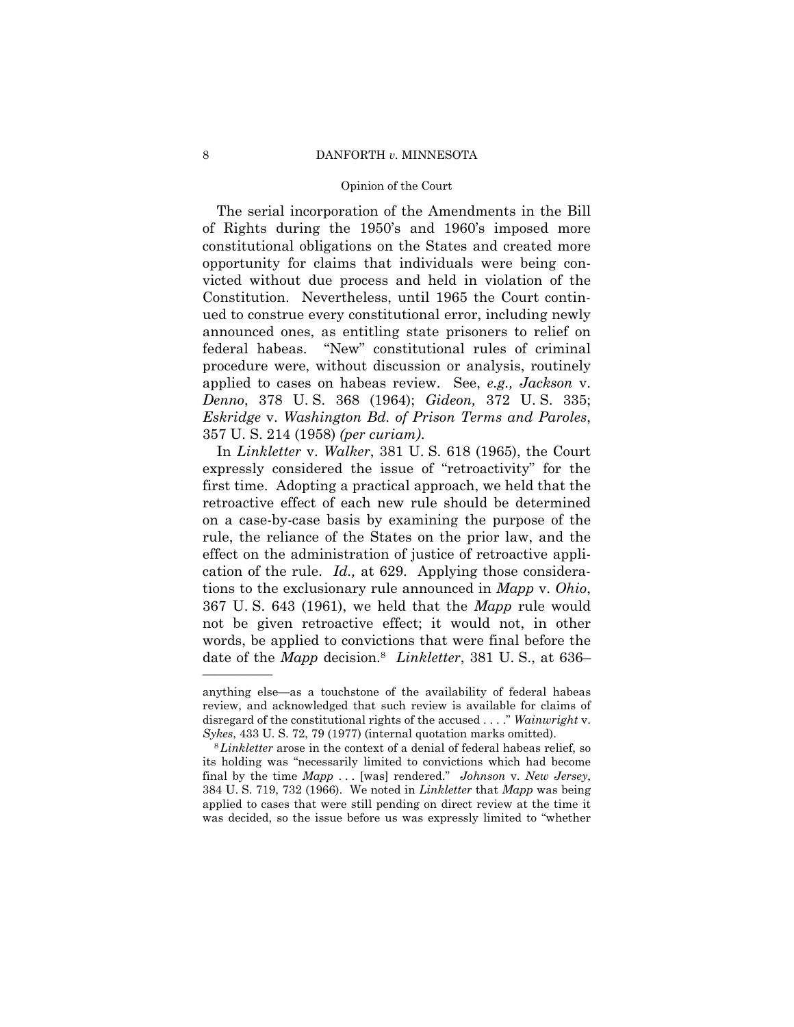### 8 DANFORTH *v*. MINNESOTA

### Opinion of the Court

 The serial incorporation of the Amendments in the Bill of Rights during the 1950's and 1960's imposed more constitutional obligations on the States and created more opportunity for claims that individuals were being convicted without due process and held in violation of the Constitution. Nevertheless, until 1965 the Court continued to construe every constitutional error, including newly announced ones, as entitling state prisoners to relief on federal habeas. "New" constitutional rules of criminal procedure were, without discussion or analysis, routinely applied to cases on habeas review. See, *e.g., Jackson* v. *Denno*, 378 U. S. 368 (1964); *Gideon,* 372 U. S. 335; *Eskridge* v. *Washington Bd. of Prison Terms and Paroles*, 357 U. S. 214 (1958) *(per curiam)*.

 In *Linkletter* v. *Walker*, 381 U. S. 618 (1965), the Court expressly considered the issue of "retroactivity" for the first time. Adopting a practical approach, we held that the retroactive effect of each new rule should be determined on a case-by-case basis by examining the purpose of the rule, the reliance of the States on the prior law, and the effect on the administration of justice of retroactive application of the rule. *Id.,* at 629. Applying those considerations to the exclusionary rule announced in *Mapp* v. *Ohio*, 367 U. S. 643 (1961), we held that the *Mapp* rule would not be given retroactive effect; it would not, in other words, be applied to convictions that were final before the date of the *Mapp* decision.8 *Linkletter*, 381 U. S., at 636–

anything else—as a touchstone of the availability of federal habeas review, and acknowledged that such review is available for claims of disregard of the constitutional rights of the accused . . . ." *Wainwright* v.

*Sykes*, 433 U. S. 72, 79 (1977) (internal quotation marks omitted). 8*Linkletter* arose in the context of a denial of federal habeas relief, so its holding was "necessarily limited to convictions which had become final by the time *Mapp* . . . [was] rendered." *Johnson* v. *New Jersey*, 384 U. S. 719, 732 (1966). We noted in *Linkletter* that *Mapp* was being applied to cases that were still pending on direct review at the time it was decided, so the issue before us was expressly limited to "whether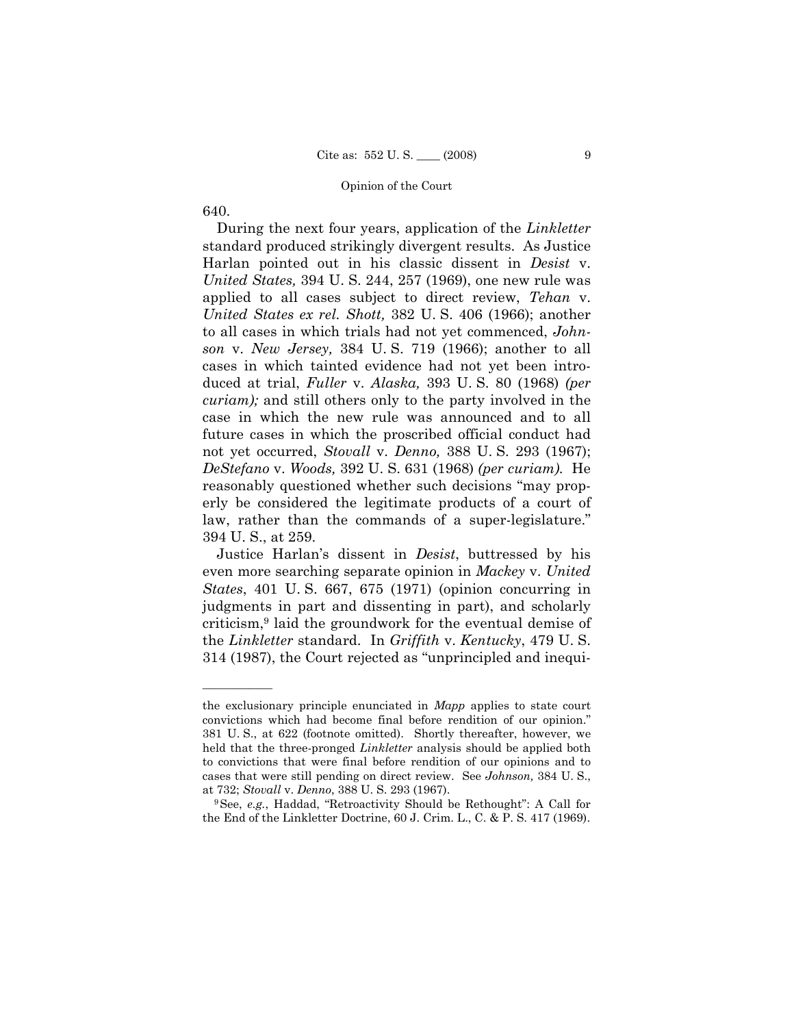640.

——————

 During the next four years, application of the *Linkletter*  standard produced strikingly divergent results. As Justice Harlan pointed out in his classic dissent in *Desist* v. *United States,* 394 U. S. 244, 257 (1969), one new rule was applied to all cases subject to direct review, *Tehan* v. *United States ex rel. Shott,* 382 U. S. 406 (1966); another to all cases in which trials had not yet commenced, *Johnson* v. *New Jersey,* 384 U. S. 719 (1966); another to all cases in which tainted evidence had not yet been introduced at trial, *Fuller* v. *Alaska,* 393 U. S. 80 (1968) *(per curiam);* and still others only to the party involved in the case in which the new rule was announced and to all future cases in which the proscribed official conduct had not yet occurred, *Stovall* v. *Denno,* 388 U. S. 293 (1967); *DeStefano* v. *Woods,* 392 U. S. 631 (1968) *(per curiam).* He reasonably questioned whether such decisions "may properly be considered the legitimate products of a court of law, rather than the commands of a super-legislature." 394 U. S., at 259.

 Justice Harlan's dissent in *Desist*, buttressed by his even more searching separate opinion in *Mackey* v. *United States*, 401 U. S. 667, 675 (1971) (opinion concurring in judgments in part and dissenting in part), and scholarly criticism,9 laid the groundwork for the eventual demise of the *Linkletter* standard. In *Griffith* v. *Kentucky*, 479 U. S. 314 (1987), the Court rejected as "unprincipled and inequi-

the exclusionary principle enunciated in *Mapp* applies to state court convictions which had become final before rendition of our opinion." 381 U. S., at 622 (footnote omitted). Shortly thereafter, however, we held that the three-pronged *Linkletter* analysis should be applied both to convictions that were final before rendition of our opinions and to cases that were still pending on direct review. See *Johnson,* 384 U. S., at 732; *Stovall* v. *Denno*, 388 U. S. 293 (1967).

<sup>9</sup>See, *e.g.*, Haddad, "Retroactivity Should be Rethought": A Call for the End of the Linkletter Doctrine, 60 J. Crim. L., C. & P. S. 417 (1969).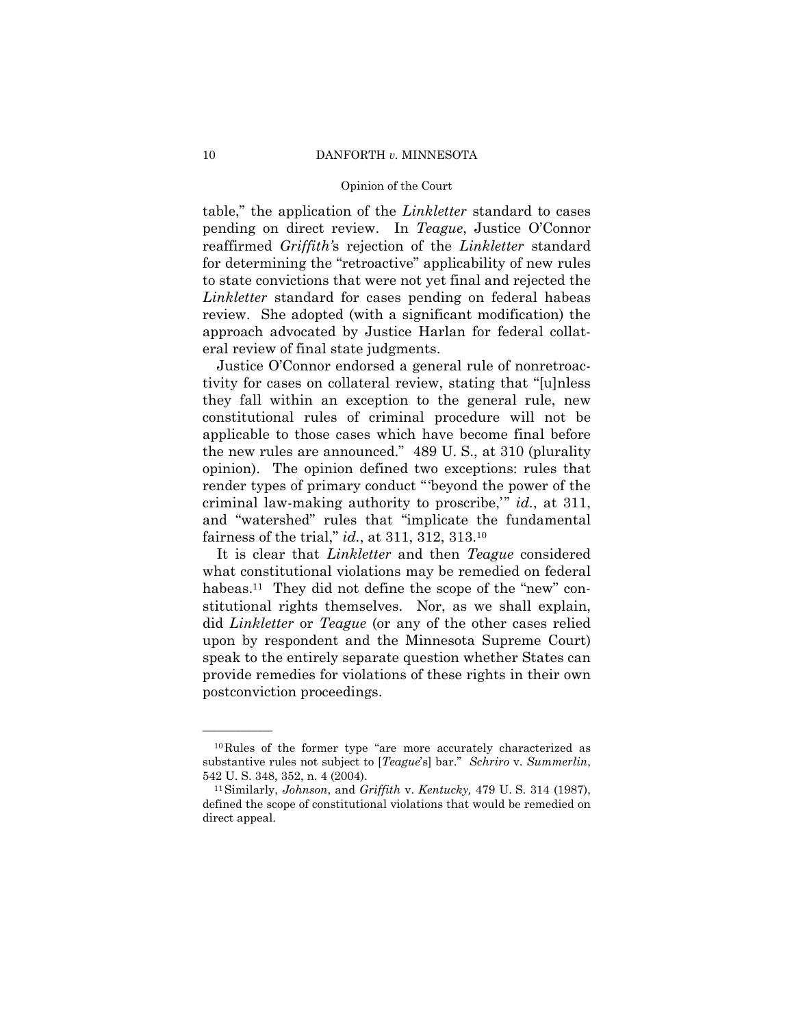### 10 DANFORTH *v.* MINNESOTA

### Opinion of the Court

table," the application of the *Linkletter* standard to cases pending on direct review. In *Teague*, Justice O'Connor reaffirmed *Griffith'*s rejection of the *Linkletter* standard for determining the "retroactive" applicability of new rules to state convictions that were not yet final and rejected the *Linkletter* standard for cases pending on federal habeas review. She adopted (with a significant modification) the approach advocated by Justice Harlan for federal collateral review of final state judgments.

 Justice O'Connor endorsed a general rule of nonretroactivity for cases on collateral review, stating that "[u]nless they fall within an exception to the general rule, new constitutional rules of criminal procedure will not be applicable to those cases which have become final before the new rules are announced." 489 U. S., at 310 (plurality opinion). The opinion defined two exceptions: rules that render types of primary conduct "'beyond the power of the criminal law-making authority to proscribe,'" *id.*, at 311, and "watershed" rules that "implicate the fundamental fairness of the trial," *id.*, at 311, 312, 313.10

 It is clear that *Linkletter* and then *Teague* considered what constitutional violations may be remedied on federal habeas.<sup>11</sup> They did not define the scope of the "new" constitutional rights themselves. Nor, as we shall explain, did *Linkletter* or *Teague* (or any of the other cases relied upon by respondent and the Minnesota Supreme Court) speak to the entirely separate question whether States can provide remedies for violations of these rights in their own postconviction proceedings.

<sup>10</sup>Rules of the former type "are more accurately characterized as substantive rules not subject to [*Teague*'s] bar." *Schriro* v. *Summerlin*, 542 U. S. 348, 352, n. 4 (2004). 11Similarly, *Johnson*, and *Griffith* v. *Kentucky,* 479 U. S. 314 (1987),

defined the scope of constitutional violations that would be remedied on direct appeal.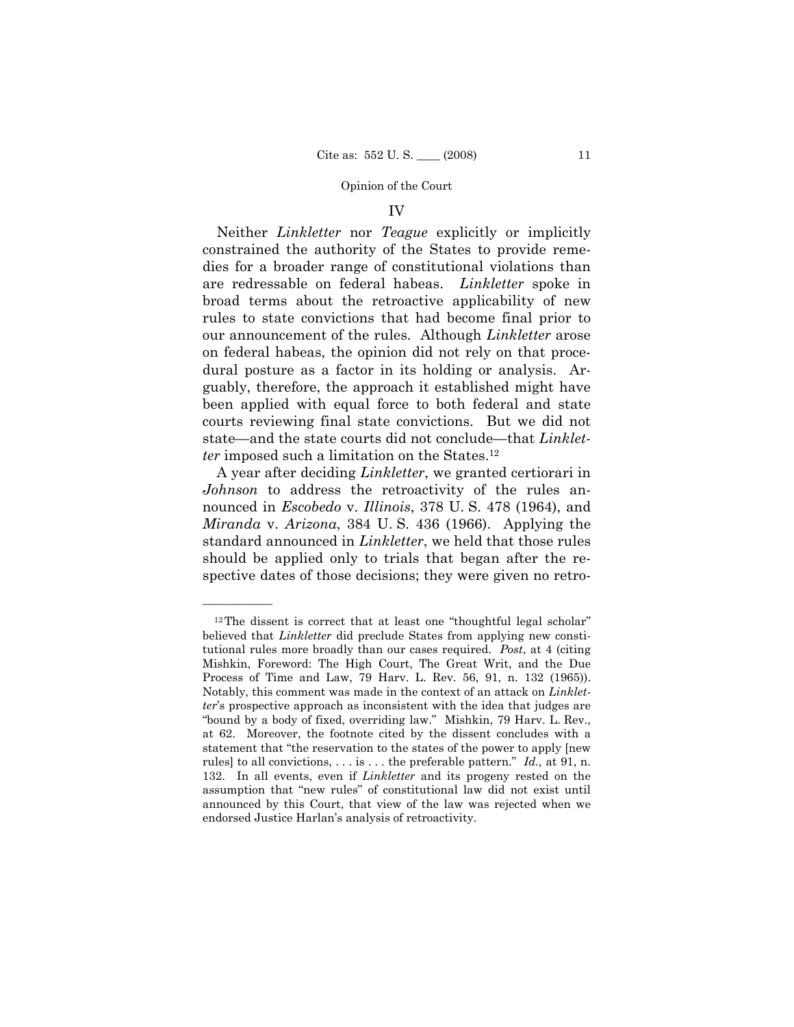# IV

Neither *Linkletter* nor *Teague* explicitly or implicitly constrained the authority of the States to provide remedies for a broader range of constitutional violations than are redressable on federal habeas. *Linkletter* spoke in broad terms about the retroactive applicability of new rules to state convictions that had become final prior to our announcement of the rules. Although *Linkletter* arose on federal habeas, the opinion did not rely on that procedural posture as a factor in its holding or analysis. Arguably, therefore, the approach it established might have been applied with equal force to both federal and state courts reviewing final state convictions. But we did not state—and the state courts did not conclude—that *Linkletter* imposed such a limitation on the States.<sup>12</sup>

 A year after deciding *Linkletter*, we granted certiorari in *Johnson* to address the retroactivity of the rules announced in *Escobedo* v. *Illinois*, 378 U. S. 478 (1964), and *Miranda* v. *Arizona*, 384 U. S. 436 (1966). Applying the standard announced in *Linkletter*, we held that those rules should be applied only to trials that began after the respective dates of those decisions; they were given no retro-

 $12$ The dissent is correct that at least one "thoughtful legal scholar" believed that *Linkletter* did preclude States from applying new constitutional rules more broadly than our cases required. *Post*, at 4 (citing Mishkin, Foreword: The High Court, The Great Writ, and the Due Process of Time and Law, 79 Harv. L. Rev. 56, 91, n. 132 (1965)). Notably, this comment was made in the context of an attack on *Linkletter*'s prospective approach as inconsistent with the idea that judges are "bound by a body of fixed, overriding law." Mishkin, 79 Harv. L. Rev., at 62. Moreover, the footnote cited by the dissent concludes with a statement that "the reservation to the states of the power to apply [new rules] to all convictions, . . . is . . . the preferable pattern." *Id.,* at 91, n. 132. In all events, even if *Linkletter* and its progeny rested on the assumption that "new rules" of constitutional law did not exist until announced by this Court, that view of the law was rejected when we endorsed Justice Harlan's analysis of retroactivity.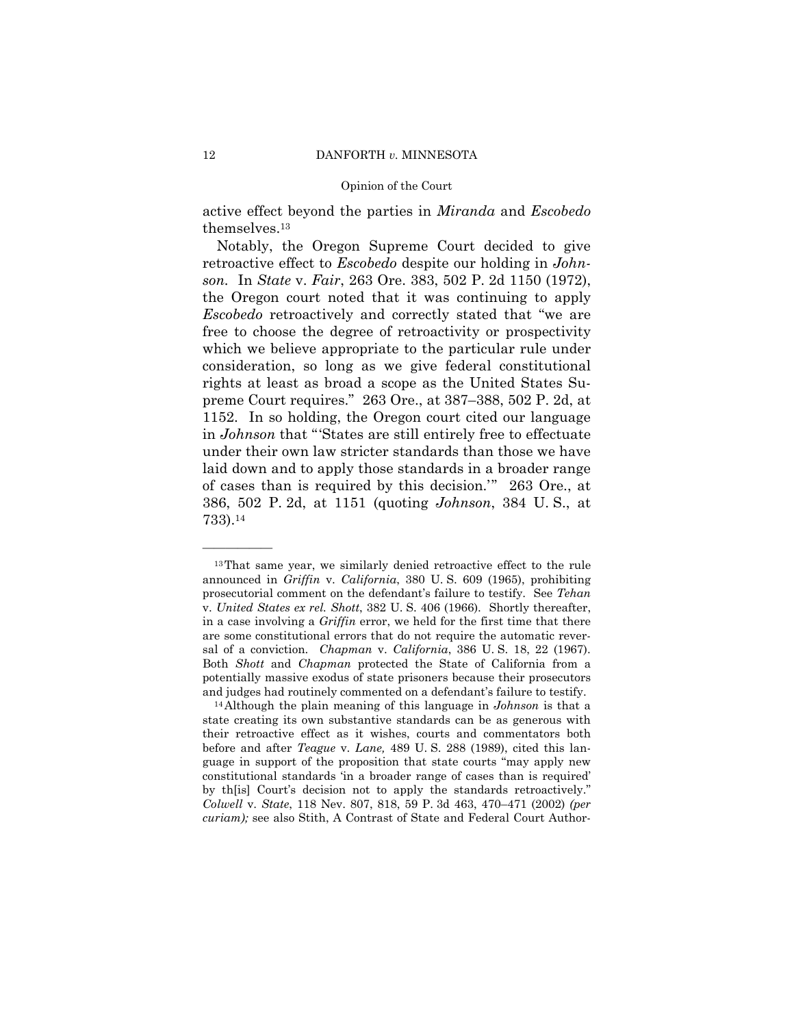active effect beyond the parties in *Miranda* and *Escobedo* themselves.13

 Notably, the Oregon Supreme Court decided to give retroactive effect to *Escobedo* despite our holding in *Johnson.* In *State* v. *Fair*, 263 Ore. 383, 502 P. 2d 1150 (1972), the Oregon court noted that it was continuing to apply *Escobedo* retroactively and correctly stated that "we are free to choose the degree of retroactivity or prospectivity which we believe appropriate to the particular rule under consideration, so long as we give federal constitutional rights at least as broad a scope as the United States Supreme Court requires." 263 Ore., at 387–388, 502 P. 2d, at 1152. In so holding, the Oregon court cited our language in *Johnson* that "'States are still entirely free to effectuate under their own law stricter standards than those we have laid down and to apply those standards in a broader range of cases than is required by this decision.'" 263 Ore., at 386, 502 P. 2d, at 1151 (quoting *Johnson*, 384 U. S., at 733).14

<sup>&</sup>lt;sup>13</sup>That same year, we similarly denied retroactive effect to the rule announced in *Griffin* v. *California*, 380 U. S. 609 (1965), prohibiting prosecutorial comment on the defendant's failure to testify. See *Tehan* v. *United States ex rel. Shott*, 382 U. S. 406 (1966). Shortly thereafter, in a case involving a *Griffin* error, we held for the first time that there are some constitutional errors that do not require the automatic reversal of a conviction. *Chapman* v. *California*, 386 U. S. 18, 22 (1967). Both *Shott* and *Chapman* protected the State of California from a potentially massive exodus of state prisoners because their prosecutors and judges had routinely commented on a defendant's failure to testify. 14Although the plain meaning of this language in *Johnson* is that a

state creating its own substantive standards can be as generous with their retroactive effect as it wishes, courts and commentators both before and after *Teague* v. *Lane,* 489 U. S. 288 (1989), cited this language in support of the proposition that state courts "may apply new constitutional standards 'in a broader range of cases than is required' by th[is] Court's decision not to apply the standards retroactively." *Colwell* v. *State*, 118 Nev. 807, 818, 59 P. 3d 463, 470–471 (2002) *(per curiam);* see also Stith, A Contrast of State and Federal Court Author-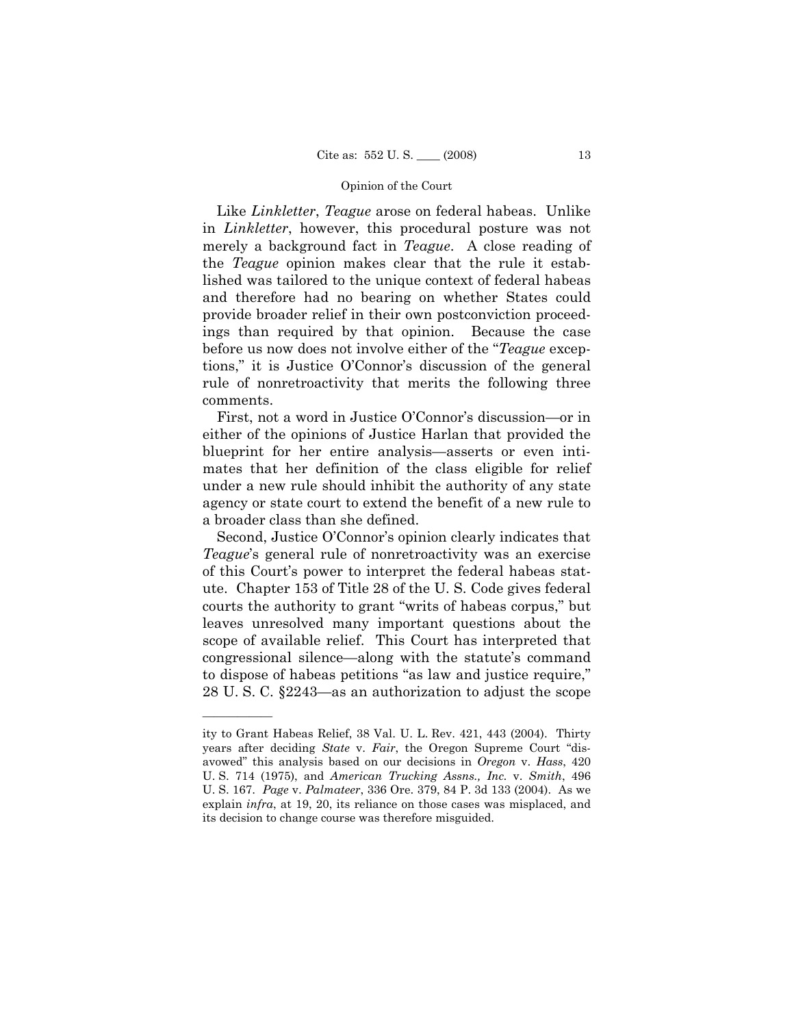Like *Linkletter*, *Teague* arose on federal habeas. Unlike in *Linkletter*, however, this procedural posture was not merely a background fact in *Teague*. A close reading of the *Teague* opinion makes clear that the rule it established was tailored to the unique context of federal habeas and therefore had no bearing on whether States could provide broader relief in their own postconviction proceedings than required by that opinion. Because the case before us now does not involve either of the "*Teague* exceptions," it is Justice O'Connor's discussion of the general rule of nonretroactivity that merits the following three comments.

 First, not a word in Justice O'Connor's discussion—or in either of the opinions of Justice Harlan that provided the blueprint for her entire analysis—asserts or even intimates that her definition of the class eligible for relief under a new rule should inhibit the authority of any state agency or state court to extend the benefit of a new rule to a broader class than she defined.

 Second, Justice O'Connor's opinion clearly indicates that *Teague*'s general rule of nonretroactivity was an exercise of this Court's power to interpret the federal habeas statute. Chapter 153 of Title 28 of the U. S. Code gives federal courts the authority to grant "writs of habeas corpus," but leaves unresolved many important questions about the scope of available relief. This Court has interpreted that congressional silence—along with the statute's command to dispose of habeas petitions "as law and justice require," 28 U. S. C. §2243—as an authorization to adjust the scope

ity to Grant Habeas Relief, 38 Val. U. L. Rev. 421, 443 (2004). Thirty years after deciding *State* v. *Fair*, the Oregon Supreme Court "disavowed" this analysis based on our decisions in *Oregon* v. *Hass*, 420 U. S. 714 (1975), and *American Trucking Assns., Inc.* v. *Smith*, 496 U. S. 167. *Page* v. *Palmateer*, 336 Ore. 379, 84 P. 3d 133 (2004). As we explain *infra*, at 19, 20, its reliance on those cases was misplaced, and its decision to change course was therefore misguided.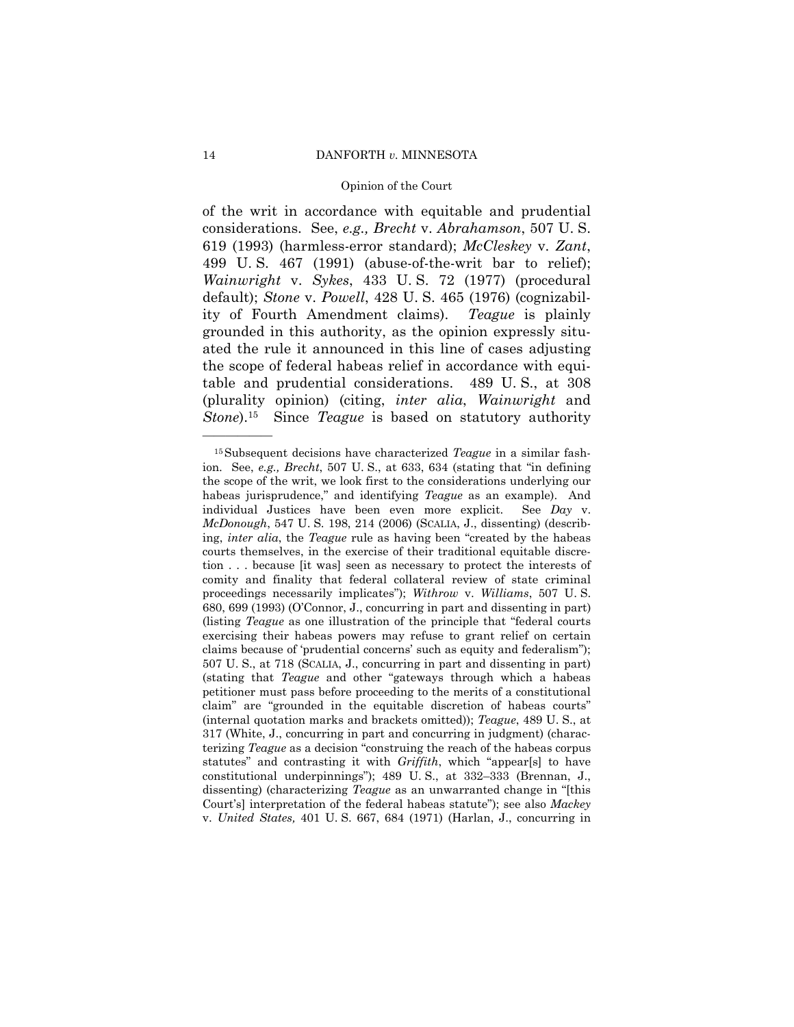of the writ in accordance with equitable and prudential considerations. See, *e.g., Brecht* v. *Abrahamson*, 507 U. S. 619 (1993) (harmless-error standard); *McCleskey* v. *Zant*, 499 U. S. 467 (1991) (abuse-of-the-writ bar to relief); *Wainwright* v. *Sykes*, 433 U. S. 72 (1977) (procedural default); *Stone* v. *Powell*, 428 U. S. 465 (1976) (cognizability of Fourth Amendment claims). *Teague* is plainly grounded in this authority, as the opinion expressly situated the rule it announced in this line of cases adjusting the scope of federal habeas relief in accordance with equitable and prudential considerations. 489 U. S., at 308 (plurality opinion) (citing, *inter alia*, *Wainwright* and *Stone*).15 Since *Teague* is based on statutory authority

<sup>15</sup>Subsequent decisions have characterized *Teague* in a similar fashion. See, *e.g., Brecht*, 507 U. S., at 633, 634 (stating that "in defining the scope of the writ, we look first to the considerations underlying our habeas jurisprudence," and identifying *Teague* as an example). And individual Justices have been even more explicit. See *Day* v. *McDonough*, 547 U. S. 198, 214 (2006) (SCALIA, J., dissenting) (describing, *inter alia*, the *Teague* rule as having been "created by the habeas courts themselves, in the exercise of their traditional equitable discretion . . . because [it was] seen as necessary to protect the interests of comity and finality that federal collateral review of state criminal proceedings necessarily implicates"); *Withrow* v. *Williams*, 507 U. S. 680, 699 (1993) (O'Connor, J., concurring in part and dissenting in part) (listing *Teague* as one illustration of the principle that "federal courts exercising their habeas powers may refuse to grant relief on certain claims because of 'prudential concerns' such as equity and federalism"); 507 U. S., at 718 (SCALIA, J., concurring in part and dissenting in part) (stating that *Teague* and other "gateways through which a habeas petitioner must pass before proceeding to the merits of a constitutional claim" are "grounded in the equitable discretion of habeas courts" (internal quotation marks and brackets omitted)); *Teague*, 489 U. S., at 317 (White, J., concurring in part and concurring in judgment) (characterizing *Teague* as a decision "construing the reach of the habeas corpus statutes" and contrasting it with *Griffith*, which "appear[s] to have constitutional underpinnings"); 489 U. S., at 332–333 (Brennan, J., dissenting) (characterizing *Teague* as an unwarranted change in "[this Court's] interpretation of the federal habeas statute"); see also *Mackey*  v. *United States,* 401 U. S. 667, 684 (1971) (Harlan, J., concurring in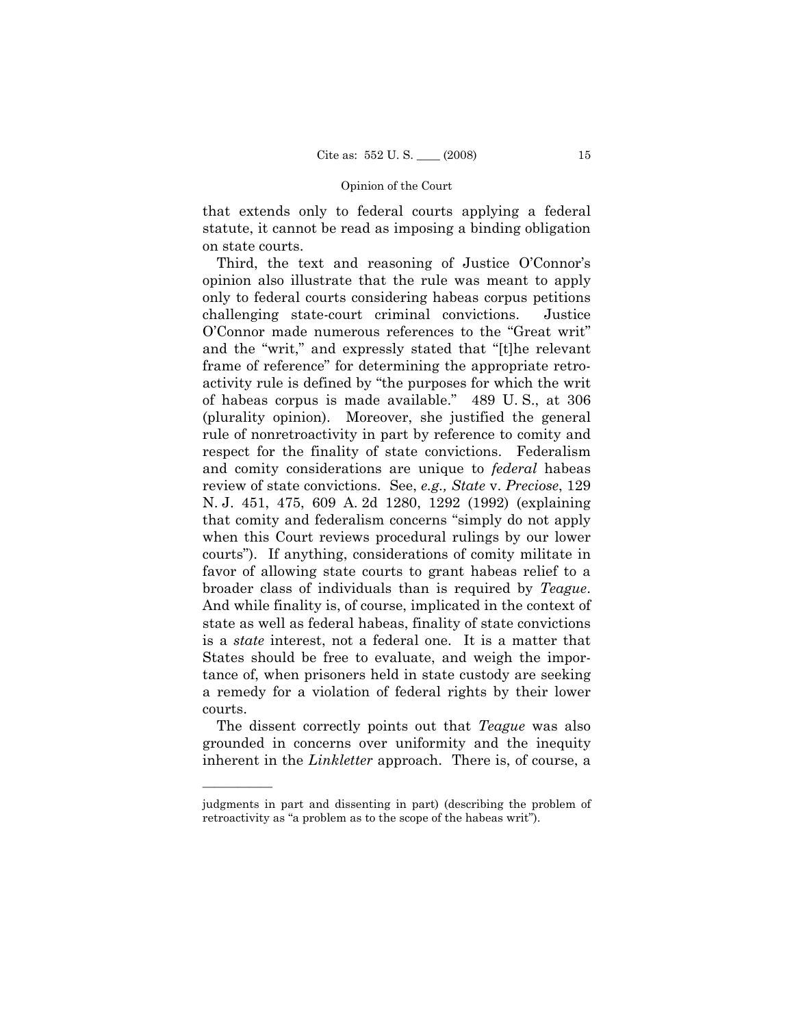that extends only to federal courts applying a federal statute, it cannot be read as imposing a binding obligation on state courts.

 Third, the text and reasoning of Justice O'Connor's opinion also illustrate that the rule was meant to apply only to federal courts considering habeas corpus petitions challenging state-court criminal convictions. Justice O'Connor made numerous references to the "Great writ" and the "writ," and expressly stated that "[t]he relevant frame of reference" for determining the appropriate retroactivity rule is defined by "the purposes for which the writ of habeas corpus is made available." 489 U. S., at 306 (plurality opinion). Moreover, she justified the general rule of nonretroactivity in part by reference to comity and respect for the finality of state convictions. Federalism and comity considerations are unique to *federal* habeas review of state convictions. See, *e.g., State* v. *Preciose*, 129 N. J. 451, 475, 609 A. 2d 1280, 1292 (1992) (explaining that comity and federalism concerns "simply do not apply when this Court reviews procedural rulings by our lower courts"). If anything, considerations of comity militate in favor of allowing state courts to grant habeas relief to a broader class of individuals than is required by *Teague*. And while finality is, of course, implicated in the context of state as well as federal habeas, finality of state convictions is a *state* interest, not a federal one. It is a matter that States should be free to evaluate, and weigh the importance of, when prisoners held in state custody are seeking a remedy for a violation of federal rights by their lower courts.

 The dissent correctly points out that *Teague* was also grounded in concerns over uniformity and the inequity inherent in the *Linkletter* approach. There is, of course, a

judgments in part and dissenting in part) (describing the problem of retroactivity as "a problem as to the scope of the habeas writ").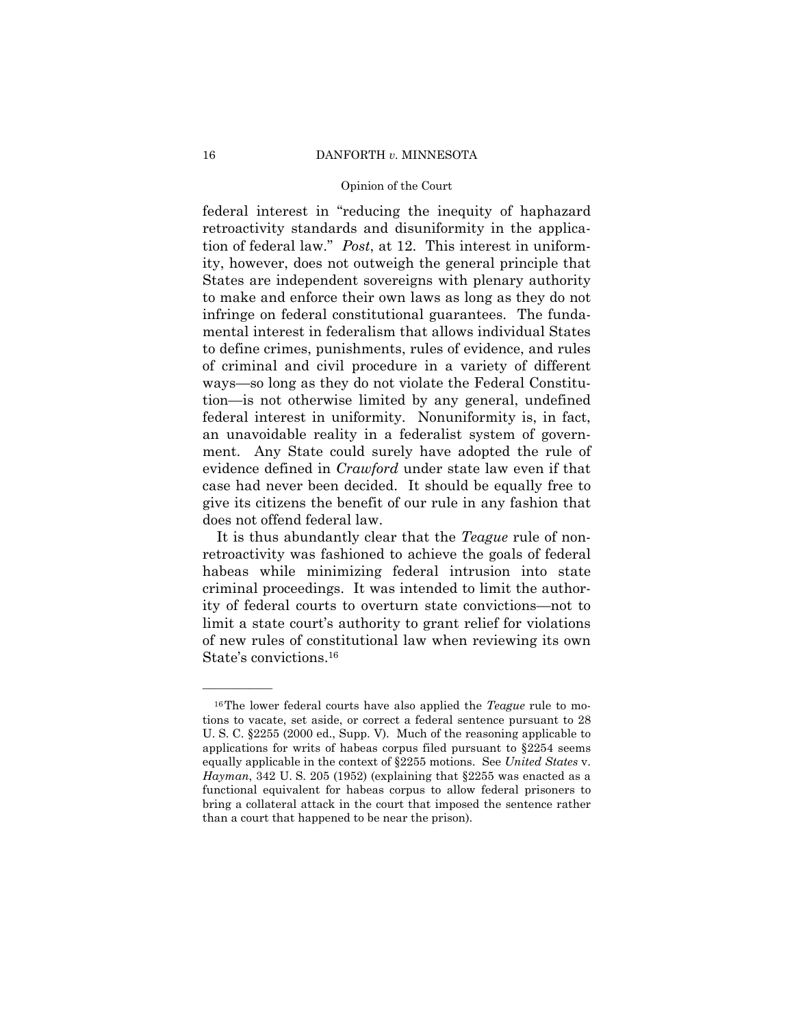### 16 DANFORTH *v.* MINNESOTA

### Opinion of the Court

federal interest in "reducing the inequity of haphazard retroactivity standards and disuniformity in the application of federal law." *Post*, at 12. This interest in uniformity, however, does not outweigh the general principle that States are independent sovereigns with plenary authority to make and enforce their own laws as long as they do not infringe on federal constitutional guarantees. The fundamental interest in federalism that allows individual States to define crimes, punishments, rules of evidence, and rules of criminal and civil procedure in a variety of different ways—so long as they do not violate the Federal Constitution—is not otherwise limited by any general, undefined federal interest in uniformity. Nonuniformity is, in fact, an unavoidable reality in a federalist system of government. Any State could surely have adopted the rule of evidence defined in *Crawford* under state law even if that case had never been decided. It should be equally free to give its citizens the benefit of our rule in any fashion that does not offend federal law.

It is thus abundantly clear that the *Teague* rule of nonretroactivity was fashioned to achieve the goals of federal habeas while minimizing federal intrusion into state criminal proceedings. It was intended to limit the authority of federal courts to overturn state convictions—not to limit a state court's authority to grant relief for violations of new rules of constitutional law when reviewing its own State's convictions.16

<sup>16</sup>The lower federal courts have also applied the *Teague* rule to motions to vacate, set aside, or correct a federal sentence pursuant to 28 U. S. C. §2255 (2000 ed., Supp. V). Much of the reasoning applicable to applications for writs of habeas corpus filed pursuant to §2254 seems equally applicable in the context of §2255 motions. See *United States* v. *Hayman*, 342 U. S. 205 (1952) (explaining that §2255 was enacted as a functional equivalent for habeas corpus to allow federal prisoners to bring a collateral attack in the court that imposed the sentence rather than a court that happened to be near the prison).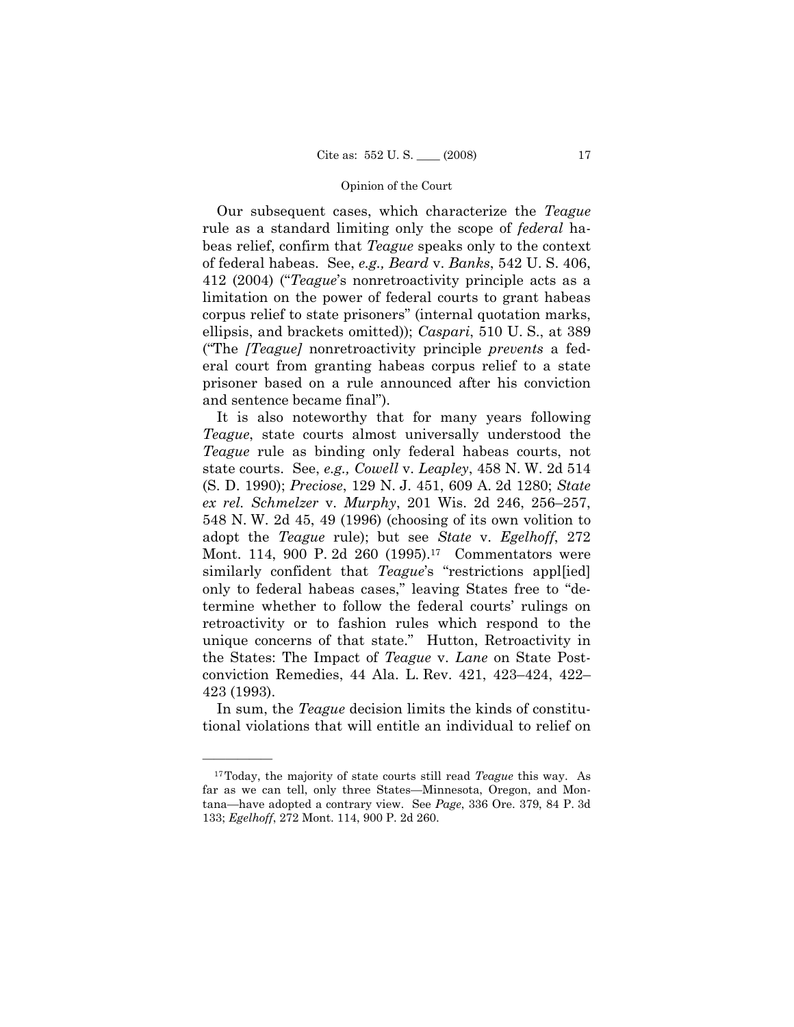Our subsequent cases, which characterize the *Teague*  rule as a standard limiting only the scope of *federal* habeas relief, confirm that *Teague* speaks only to the context of federal habeas. See, *e.g., Beard* v. *Banks*, 542 U. S. 406, 412 (2004) ("*Teague*'s nonretroactivity principle acts as a limitation on the power of federal courts to grant habeas corpus relief to state prisoners" (internal quotation marks, ellipsis, and brackets omitted)); *Caspari*, 510 U. S., at 389 ("The *[Teague]* nonretroactivity principle *prevents* a federal court from granting habeas corpus relief to a state prisoner based on a rule announced after his conviction and sentence became final").

 It is also noteworthy that for many years following *Teague*, state courts almost universally understood the *Teague* rule as binding only federal habeas courts, not state courts. See, *e.g., Cowell* v. *Leapley*, 458 N. W. 2d 514 (S. D. 1990); *Preciose*, 129 N. J. 451, 609 A. 2d 1280; *State ex rel. Schmelzer* v. *Murphy*, 201 Wis. 2d 246, 256–257, 548 N. W. 2d 45, 49 (1996) (choosing of its own volition to adopt the *Teague* rule); but see *State* v. *Egelhoff*, 272 Mont. 114, 900 P. 2d 260 (1995).<sup>17</sup> Commentators were similarly confident that *Teague*'s "restrictions appl[ied] only to federal habeas cases," leaving States free to "determine whether to follow the federal courts' rulings on retroactivity or to fashion rules which respond to the unique concerns of that state." Hutton, Retroactivity in the States: The Impact of *Teague* v. *Lane* on State Postconviction Remedies, 44 Ala. L. Rev. 421, 423–424, 422– 423 (1993).

In sum, the *Teague* decision limits the kinds of constitutional violations that will entitle an individual to relief on

<sup>17</sup>Today, the majority of state courts still read *Teague* this way. As far as we can tell, only three States—Minnesota, Oregon, and Montana—have adopted a contrary view. See *Page*, 336 Ore. 379, 84 P. 3d 133; *Egelhoff*, 272 Mont. 114, 900 P. 2d 260.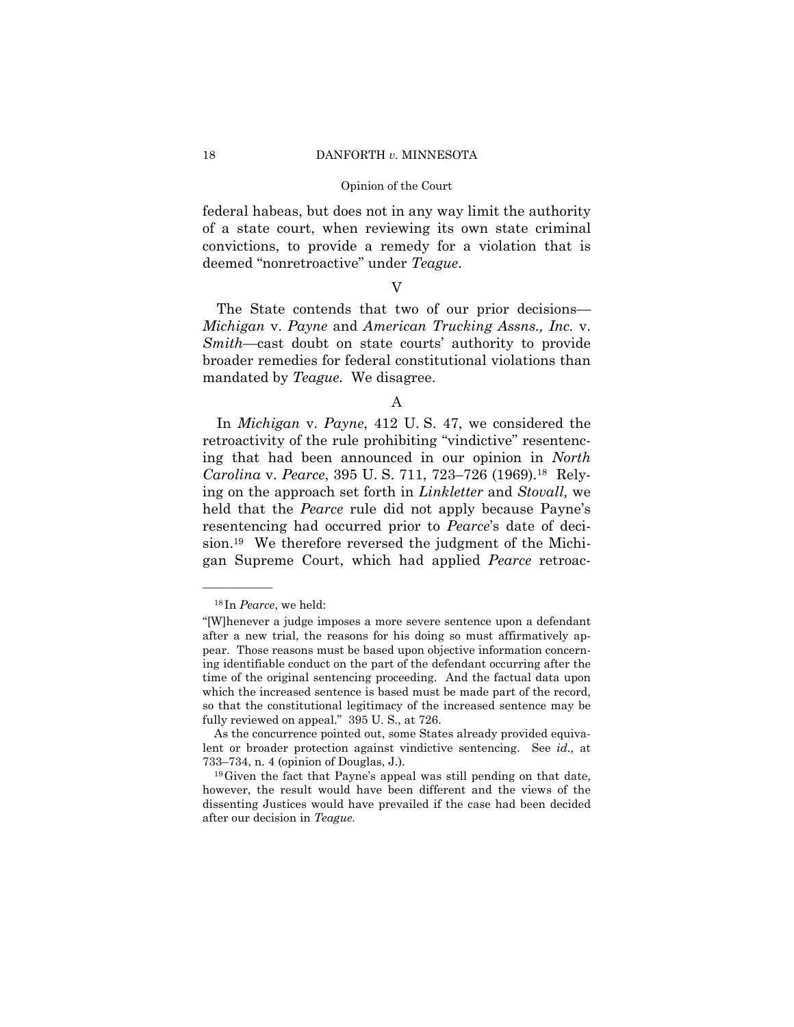### 18 DANFORTH *v.* MINNESOTA

### Opinion of the Court

federal habeas, but does not in any way limit the authority of a state court, when reviewing its own state criminal convictions, to provide a remedy for a violation that is deemed "nonretroactive" under *Teague*.

# V

 The State contends that two of our prior decisions— *Michigan* v. *Payne* and *American Trucking Assns., Inc.* v. *Smith*—cast doubt on state courts' authority to provide broader remedies for federal constitutional violations than mandated by *Teague.* We disagree.

### A

 In *Michigan* v. *Payne*, 412 U. S. 47, we considered the retroactivity of the rule prohibiting "vindictive" resentencing that had been announced in our opinion in *North Carolina* v. *Pearce*, 395 U. S. 711, 723–726 (1969).18 Relying on the approach set forth in *Linkletter* and *Stovall,* we held that the *Pearce* rule did not apply because Payne's resentencing had occurred prior to *Pearce*'s date of decision.19 We therefore reversed the judgment of the Michigan Supreme Court, which had applied *Pearce* retroac-

<sup>18</sup> In *Pearce*, we held:

<sup>&</sup>quot;[W]henever a judge imposes a more severe sentence upon a defendant after a new trial, the reasons for his doing so must affirmatively appear. Those reasons must be based upon objective information concerning identifiable conduct on the part of the defendant occurring after the time of the original sentencing proceeding. And the factual data upon which the increased sentence is based must be made part of the record, so that the constitutional legitimacy of the increased sentence may be fully reviewed on appeal." 395 U. S., at 726.

As the concurrence pointed out, some States already provided equivalent or broader protection against vindictive sentencing. See *id.,* at 733–734, n. 4 (opinion of Douglas, J.). <sup>19</sup>Given the fact that Payne's appeal was still pending on that date,

however, the result would have been different and the views of the dissenting Justices would have prevailed if the case had been decided after our decision in *Teague.*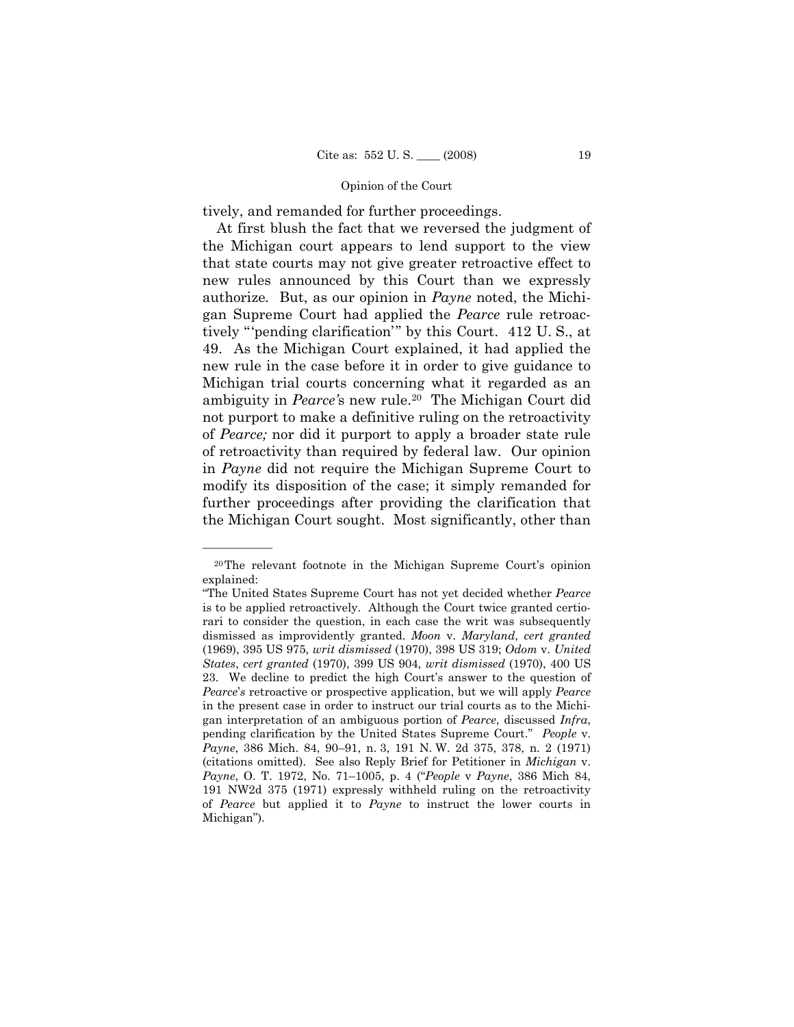tively, and remanded for further proceedings.

 At first blush the fact that we reversed the judgment of the Michigan court appears to lend support to the view that state courts may not give greater retroactive effect to new rules announced by this Court than we expressly authorize*.* But, as our opinion in *Payne* noted, the Michigan Supreme Court had applied the *Pearce* rule retroactively "'pending clarification'" by this Court. 412 U. S., at 49. As the Michigan Court explained, it had applied the new rule in the case before it in order to give guidance to Michigan trial courts concerning what it regarded as an ambiguity in *Pearce'*s new rule.20 The Michigan Court did not purport to make a definitive ruling on the retroactivity of *Pearce;* nor did it purport to apply a broader state rule of retroactivity than required by federal law. Our opinion in *Payne* did not require the Michigan Supreme Court to modify its disposition of the case; it simply remanded for further proceedings after providing the clarification that the Michigan Court sought. Most significantly, other than

<sup>20</sup>The relevant footnote in the Michigan Supreme Court's opinion explained:

<sup>&</sup>quot;The United States Supreme Court has not yet decided whether *Pearce* is to be applied retroactively. Although the Court twice granted certiorari to consider the question, in each case the writ was subsequently dismissed as improvidently granted. *Moon* v. *Maryland*, *cert granted* (1969), 395 US 975, *writ dismissed* (1970), 398 US 319; *Odom* v. *United States*, *cert granted* (1970), 399 US 904, *writ dismissed* (1970), 400 US 23. We decline to predict the high Court's answer to the question of *Pearce*'*s* retroactive or prospective application, but we will apply *Pearce* in the present case in order to instruct our trial courts as to the Michigan interpretation of an ambiguous portion of *Pearce*, discussed *Infra*, pending clarification by the United States Supreme Court." *People* v. *Payne*, 386 Mich. 84, 90–91, n. 3, 191 N. W. 2d 375, 378, n. 2 (1971) (citations omitted). See also Reply Brief for Petitioner in *Michigan* v. *Payne*, O. T. 1972, No. 71–1005, p. 4 ("*People* v *Payne*, 386 Mich 84, 191 NW2d 375 (1971) expressly withheld ruling on the retroactivity of *Pearce* but applied it to *Payne* to instruct the lower courts in Michigan").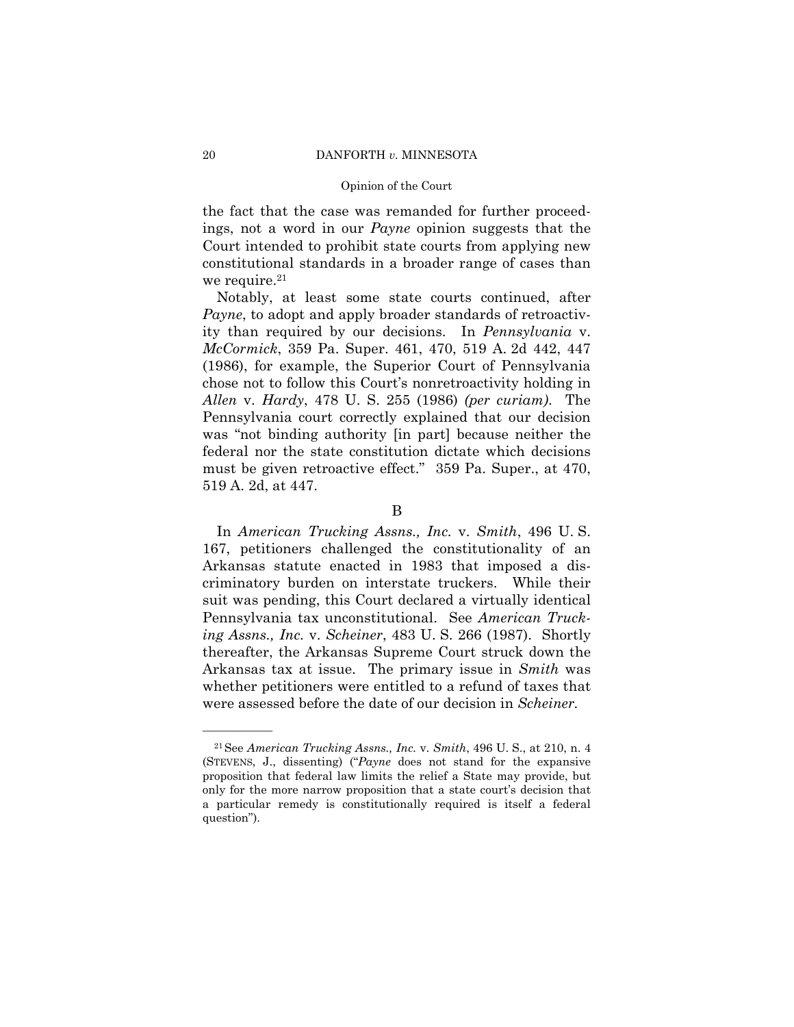### 20 DANFORTH *v.* MINNESOTA

### Opinion of the Court

the fact that the case was remanded for further proceedings, not a word in our *Payne* opinion suggests that the Court intended to prohibit state courts from applying new constitutional standards in a broader range of cases than we require. $21$ 

 Notably, at least some state courts continued, after *Payne*, to adopt and apply broader standards of retroactivity than required by our decisions. In *Pennsylvania* v. *McCormick*, 359 Pa. Super. 461, 470, 519 A. 2d 442, 447 (1986), for example, the Superior Court of Pennsylvania chose not to follow this Court's nonretroactivity holding in *Allen* v. *Hardy*, 478 U. S. 255 (1986) *(per curiam)*. The Pennsylvania court correctly explained that our decision was "not binding authority [in part] because neither the federal nor the state constitution dictate which decisions must be given retroactive effect." 359 Pa. Super., at 470, 519 A. 2d, at 447.

 In *American Trucking Assns., Inc.* v. *Smith*, 496 U. S. 167, petitioners challenged the constitutionality of an Arkansas statute enacted in 1983 that imposed a discriminatory burden on interstate truckers. While their suit was pending, this Court declared a virtually identical Pennsylvania tax unconstitutional. See *American Trucking Assns., Inc.* v. *Scheiner*, 483 U. S. 266 (1987). Shortly thereafter, the Arkansas Supreme Court struck down the Arkansas tax at issue. The primary issue in *Smith* was whether petitioners were entitled to a refund of taxes that were assessed before the date of our decision in *Scheiner.* 

B

<sup>21</sup>See *American Trucking Assns., Inc.* v. *Smith*, 496 U. S., at 210, n. 4 (STEVENS, J., dissenting) ("*Payne* does not stand for the expansive proposition that federal law limits the relief a State may provide, but only for the more narrow proposition that a state court's decision that a particular remedy is constitutionally required is itself a federal question").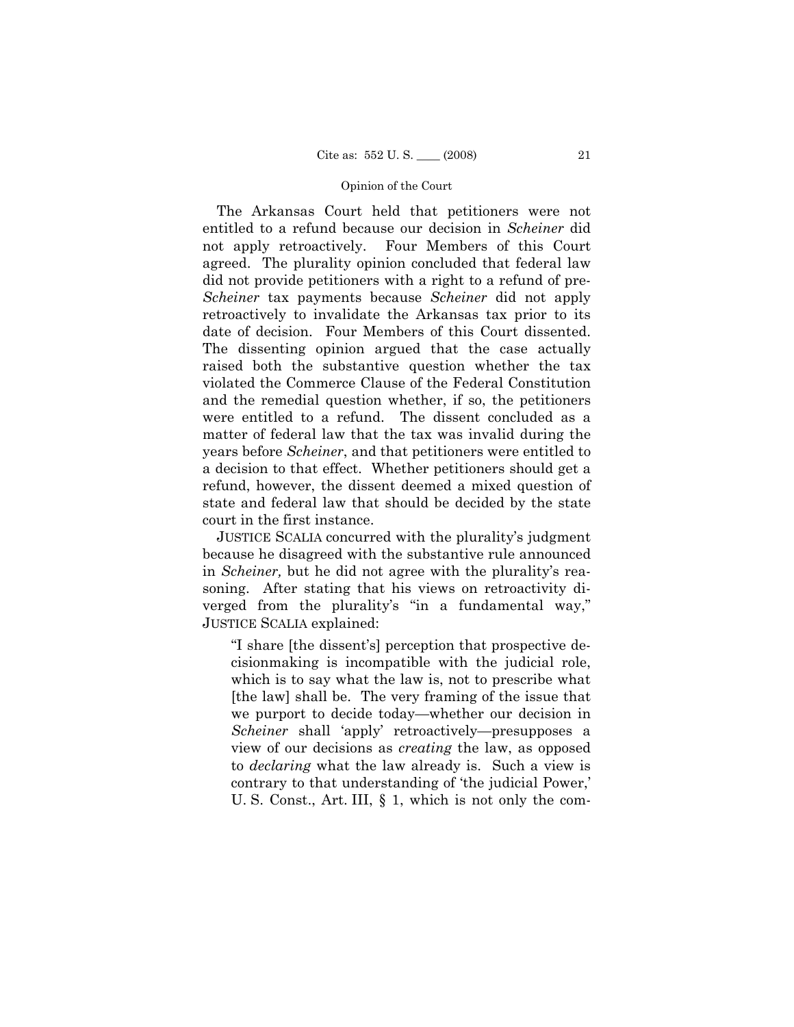The Arkansas Court held that petitioners were not entitled to a refund because our decision in *Scheiner* did not apply retroactively. Four Members of this Court agreed. The plurality opinion concluded that federal law did not provide petitioners with a right to a refund of pre-*Scheiner* tax payments because *Scheiner* did not apply retroactively to invalidate the Arkansas tax prior to its date of decision. Four Members of this Court dissented. The dissenting opinion argued that the case actually raised both the substantive question whether the tax violated the Commerce Clause of the Federal Constitution and the remedial question whether, if so, the petitioners were entitled to a refund. The dissent concluded as a matter of federal law that the tax was invalid during the years before *Scheiner*, and that petitioners were entitled to a decision to that effect. Whether petitioners should get a refund, however, the dissent deemed a mixed question of state and federal law that should be decided by the state court in the first instance.

 JUSTICE SCALIA concurred with the plurality's judgment because he disagreed with the substantive rule announced in *Scheiner,* but he did not agree with the plurality's reasoning. After stating that his views on retroactivity diverged from the plurality's "in a fundamental way," JUSTICE SCALIA explained:

"I share [the dissent's] perception that prospective decisionmaking is incompatible with the judicial role, which is to say what the law is, not to prescribe what [the law] shall be. The very framing of the issue that we purport to decide today—whether our decision in *Scheiner* shall 'apply' retroactively—presupposes a view of our decisions as *creating* the law, as opposed to *declaring* what the law already is. Such a view is contrary to that understanding of 'the judicial Power,' U. S. Const., Art. III, § 1, which is not only the com-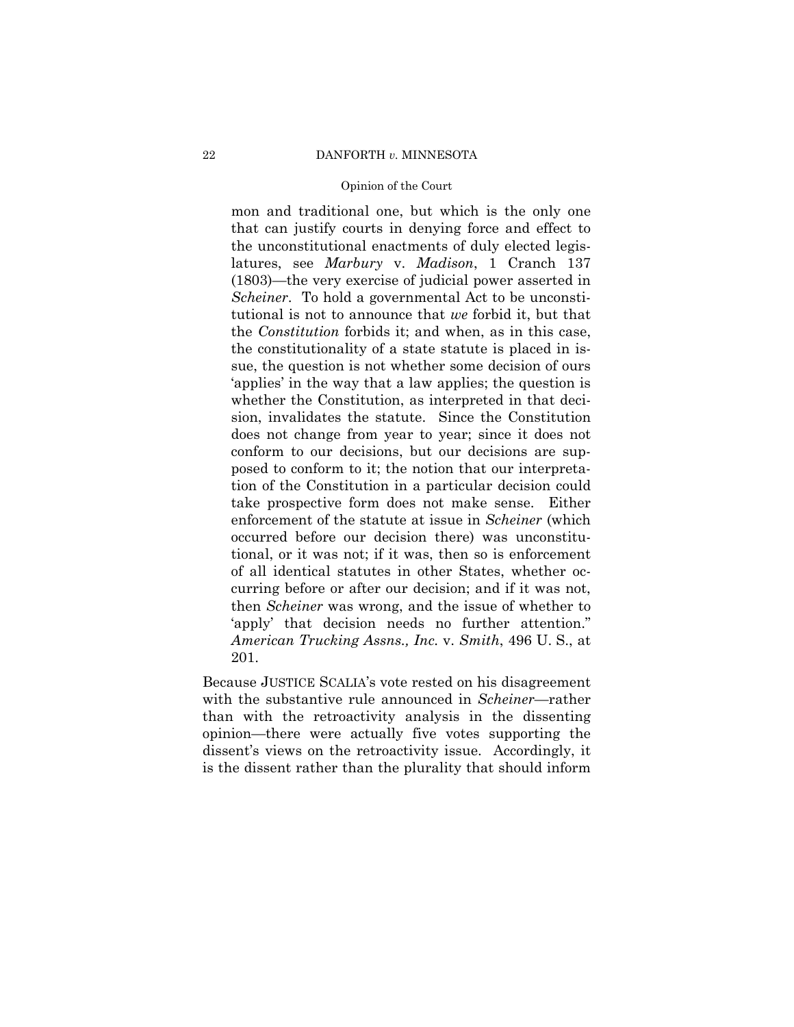### 22 DANFORTH *v.* MINNESOTA

### Opinion of the Court

mon and traditional one, but which is the only one that can justify courts in denying force and effect to the unconstitutional enactments of duly elected legislatures, see *Marbury* v. *Madison*, 1 Cranch 137 (1803)—the very exercise of judicial power asserted in *Scheiner*. To hold a governmental Act to be unconstitutional is not to announce that *we* forbid it, but that the *Constitution* forbids it; and when, as in this case, the constitutionality of a state statute is placed in issue, the question is not whether some decision of ours 'applies' in the way that a law applies; the question is whether the Constitution, as interpreted in that decision, invalidates the statute. Since the Constitution does not change from year to year; since it does not conform to our decisions, but our decisions are supposed to conform to it; the notion that our interpretation of the Constitution in a particular decision could take prospective form does not make sense. Either enforcement of the statute at issue in *Scheiner* (which occurred before our decision there) was unconstitutional, or it was not; if it was, then so is enforcement of all identical statutes in other States, whether occurring before or after our decision; and if it was not, then *Scheiner* was wrong, and the issue of whether to 'apply' that decision needs no further attention." *American Trucking Assns., Inc.* v. *Smith*, 496 U. S., at 201.

Because JUSTICE SCALIA's vote rested on his disagreement with the substantive rule announced in *Scheiner*—rather than with the retroactivity analysis in the dissenting opinion—there were actually five votes supporting the dissent's views on the retroactivity issue. Accordingly, it is the dissent rather than the plurality that should inform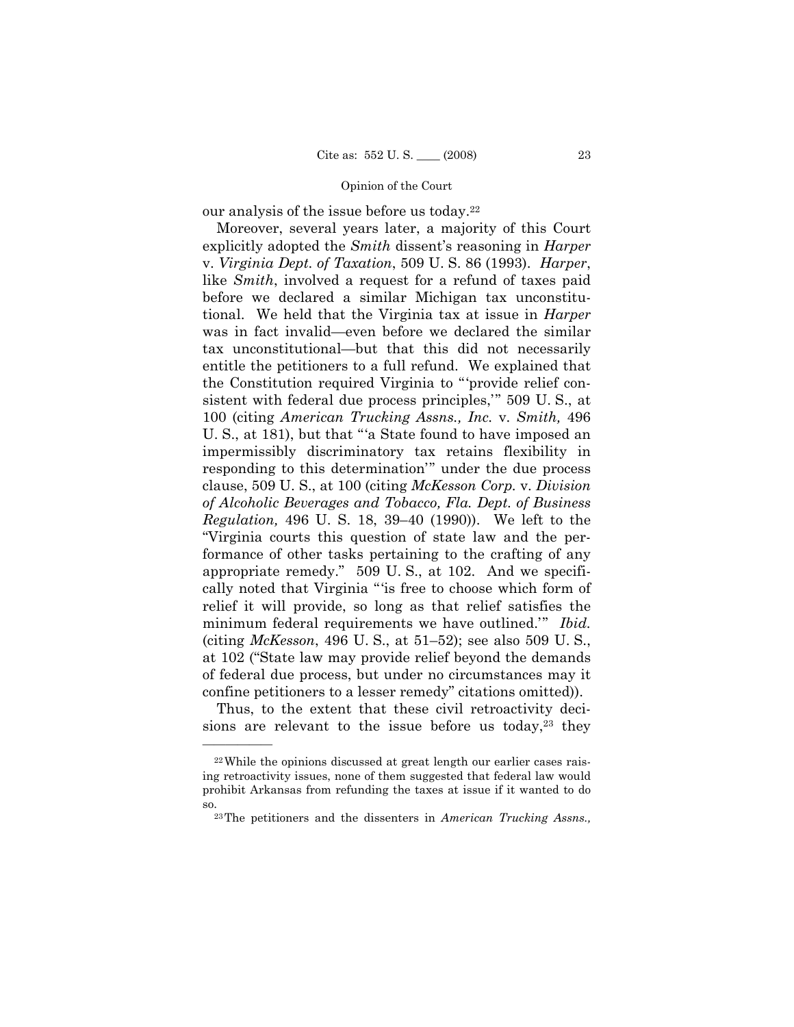our analysis of the issue before us today.22

 Moreover, several years later, a majority of this Court explicitly adopted the *Smith* dissent's reasoning in *Harper* v. *Virginia Dept. of Taxation*, 509 U. S. 86 (1993). *Harper*, like *Smith*, involved a request for a refund of taxes paid before we declared a similar Michigan tax unconstitutional. We held that the Virginia tax at issue in *Harper* was in fact invalid—even before we declared the similar tax unconstitutional—but that this did not necessarily entitle the petitioners to a full refund. We explained that the Constitution required Virginia to "'provide relief consistent with federal due process principles,'" 509 U. S., at 100 (citing *American Trucking Assns., Inc.* v. *Smith,* 496 U. S., at 181), but that "'a State found to have imposed an impermissibly discriminatory tax retains flexibility in responding to this determination'" under the due process clause, 509 U. S., at 100 (citing *McKesson Corp.* v. *Division of Alcoholic Beverages and Tobacco, Fla. Dept. of Business Regulation,* 496 U. S. 18, 39–40 (1990)). We left to the "Virginia courts this question of state law and the performance of other tasks pertaining to the crafting of any appropriate remedy." 509 U. S., at 102. And we specifically noted that Virginia "'is free to choose which form of relief it will provide, so long as that relief satisfies the minimum federal requirements we have outlined.'" *Ibid.*  (citing *McKesson*, 496 U. S., at 51–52); see also 509 U. S., at 102 ("State law may provide relief beyond the demands of federal due process, but under no circumstances may it confine petitioners to a lesser remedy" citations omitted)).

 Thus, to the extent that these civil retroactivity decisions are relevant to the issue before us today, $23$  they

<sup>22</sup>While the opinions discussed at great length our earlier cases raising retroactivity issues, none of them suggested that federal law would prohibit Arkansas from refunding the taxes at issue if it wanted to do

so. 23The petitioners and the dissenters in *American Trucking Assns.,*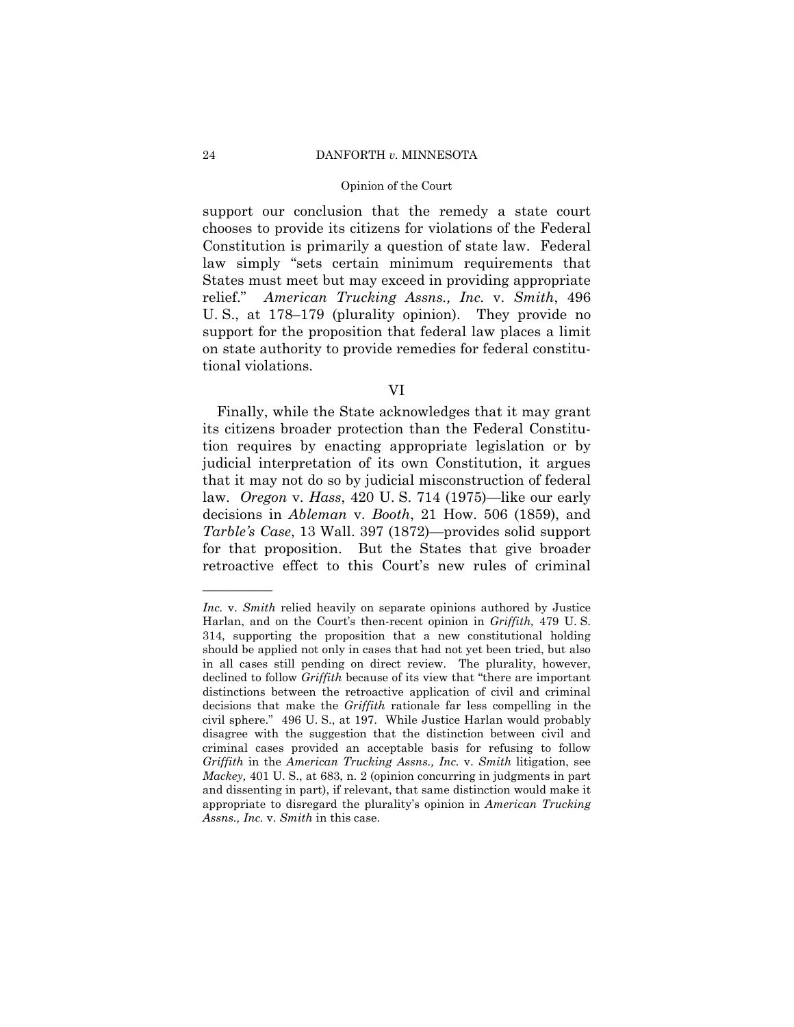### 24 DANFORTH *v.* MINNESOTA

### Opinion of the Court

support our conclusion that the remedy a state court chooses to provide its citizens for violations of the Federal Constitution is primarily a question of state law. Federal law simply "sets certain minimum requirements that States must meet but may exceed in providing appropriate relief." *American Trucking Assns., Inc.* v. *Smith*, 496 U. S., at 178–179 (plurality opinion). They provide no support for the proposition that federal law places a limit on state authority to provide remedies for federal constitutional violations.

VI

 Finally, while the State acknowledges that it may grant its citizens broader protection than the Federal Constitution requires by enacting appropriate legislation or by judicial interpretation of its own Constitution, it argues that it may not do so by judicial misconstruction of federal law. *Oregon* v. *Hass*, 420 U. S. 714 (1975)—like our early decisions in *Ableman* v. *Booth*, 21 How. 506 (1859), and *Tarble's Case*, 13 Wall. 397 (1872)—provides solid support for that proposition. But the States that give broader retroactive effect to this Court's new rules of criminal

*Inc.* v. *Smith* relied heavily on separate opinions authored by Justice Harlan, and on the Court's then-recent opinion in *Griffith,* 479 U. S. 314, supporting the proposition that a new constitutional holding should be applied not only in cases that had not yet been tried, but also in all cases still pending on direct review. The plurality, however, declined to follow *Griffith* because of its view that "there are important distinctions between the retroactive application of civil and criminal decisions that make the *Griffith* rationale far less compelling in the civil sphere." 496 U. S., at 197. While Justice Harlan would probably disagree with the suggestion that the distinction between civil and criminal cases provided an acceptable basis for refusing to follow *Griffith* in the *American Trucking Assns., Inc.* v. *Smith* litigation, see *Mackey,* 401 U. S., at 683, n. 2 (opinion concurring in judgments in part and dissenting in part), if relevant, that same distinction would make it appropriate to disregard the plurality's opinion in *American Trucking Assns., Inc.* v. *Smith* in this case.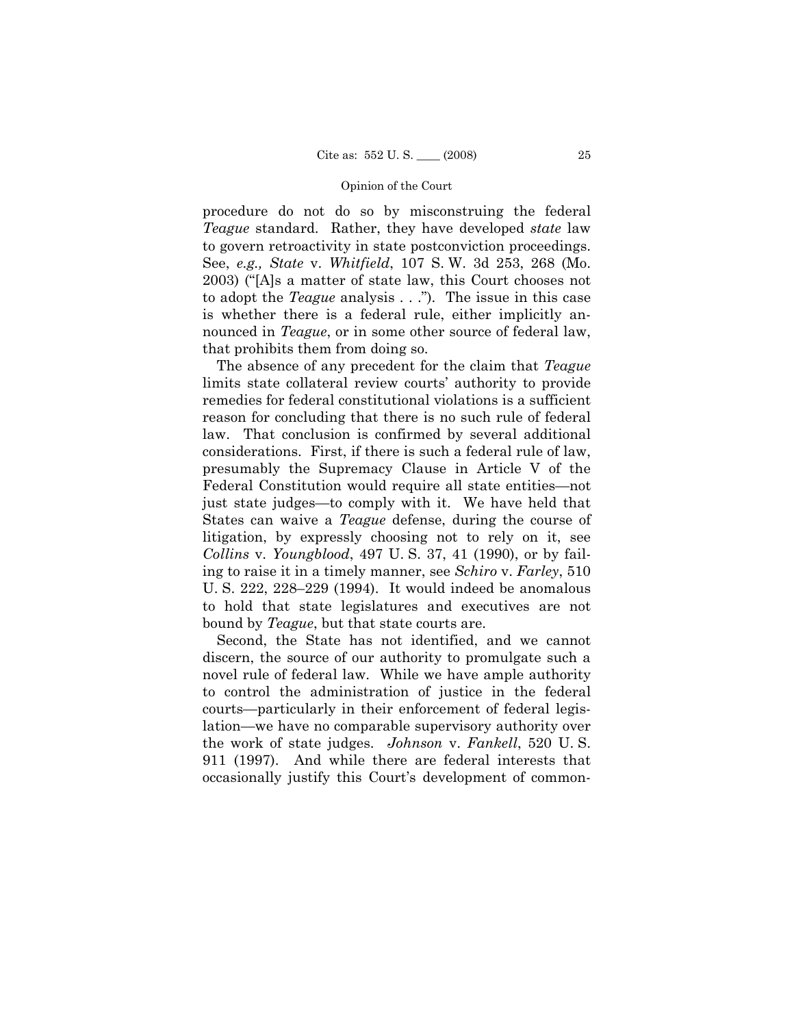procedure do not do so by misconstruing the federal *Teague* standard. Rather, they have developed *state* law to govern retroactivity in state postconviction proceedings. See, *e.g., State* v. *Whitfield*, 107 S. W. 3d 253, 268 (Mo. 2003) ("[A]s a matter of state law, this Court chooses not to adopt the *Teague* analysis . . ."). The issue in this case is whether there is a federal rule, either implicitly announced in *Teague*, or in some other source of federal law, that prohibits them from doing so.

 The absence of any precedent for the claim that *Teague*  limits state collateral review courts' authority to provide remedies for federal constitutional violations is a sufficient reason for concluding that there is no such rule of federal law. That conclusion is confirmed by several additional considerations. First, if there is such a federal rule of law, presumably the Supremacy Clause in Article V of the Federal Constitution would require all state entities—not just state judges—to comply with it. We have held that States can waive a *Teague* defense, during the course of litigation, by expressly choosing not to rely on it, see *Collins* v. *Youngblood*, 497 U. S. 37, 41 (1990), or by failing to raise it in a timely manner, see *Schiro* v. *Farley*, 510 U. S. 222, 228–229 (1994). It would indeed be anomalous to hold that state legislatures and executives are not bound by *Teague*, but that state courts are.

 Second, the State has not identified, and we cannot discern, the source of our authority to promulgate such a novel rule of federal law. While we have ample authority to control the administration of justice in the federal courts—particularly in their enforcement of federal legislation—we have no comparable supervisory authority over the work of state judges. *Johnson* v. *Fankell*, 520 U. S. 911 (1997). And while there are federal interests that occasionally justify this Court's development of common-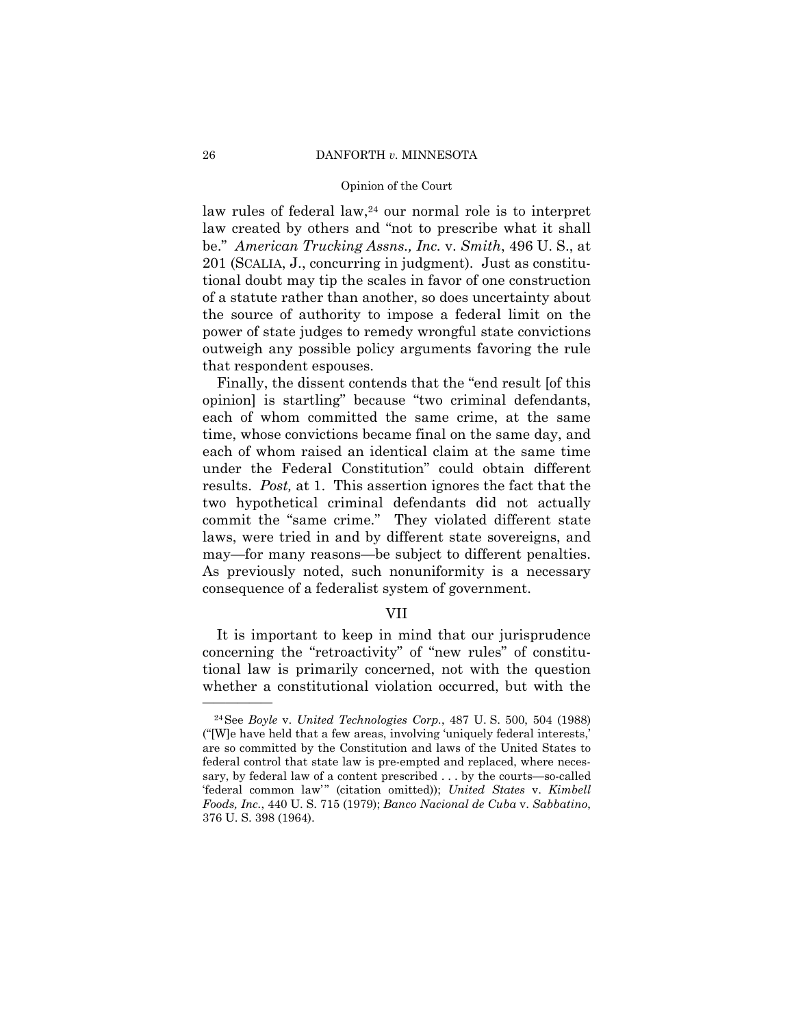### 26 DANFORTH *v.* MINNESOTA

### Opinion of the Court

law rules of federal law,<sup>24</sup> our normal role is to interpret law created by others and "not to prescribe what it shall be." *American Trucking Assns., Inc.* v. *Smith*, 496 U. S., at 201 (SCALIA, J., concurring in judgment). Just as constitutional doubt may tip the scales in favor of one construction of a statute rather than another, so does uncertainty about the source of authority to impose a federal limit on the power of state judges to remedy wrongful state convictions outweigh any possible policy arguments favoring the rule that respondent espouses.

 Finally, the dissent contends that the "end result [of this opinion] is startling" because "two criminal defendants, each of whom committed the same crime, at the same time, whose convictions became final on the same day, and each of whom raised an identical claim at the same time under the Federal Constitution" could obtain different results. *Post,* at 1. This assertion ignores the fact that the two hypothetical criminal defendants did not actually commit the "same crime." They violated different state laws, were tried in and by different state sovereigns, and may—for many reasons—be subject to different penalties. As previously noted, such nonuniformity is a necessary consequence of a federalist system of government.

### VII

 It is important to keep in mind that our jurisprudence concerning the "retroactivity" of "new rules" of constitutional law is primarily concerned, not with the question whether a constitutional violation occurred, but with the

<sup>24</sup>See *Boyle* v. *United Technologies Corp.*, 487 U. S. 500, 504 (1988) ("[W]e have held that a few areas, involving 'uniquely federal interests,' are so committed by the Constitution and laws of the United States to federal control that state law is pre-empted and replaced, where necessary, by federal law of a content prescribed . . . by the courts—so-called 'federal common law'" (citation omitted)); *United States* v. *Kimbell Foods, Inc.*, 440 U. S. 715 (1979); *Banco Nacional de Cuba* v. *Sabbatino*, 376 U. S. 398 (1964).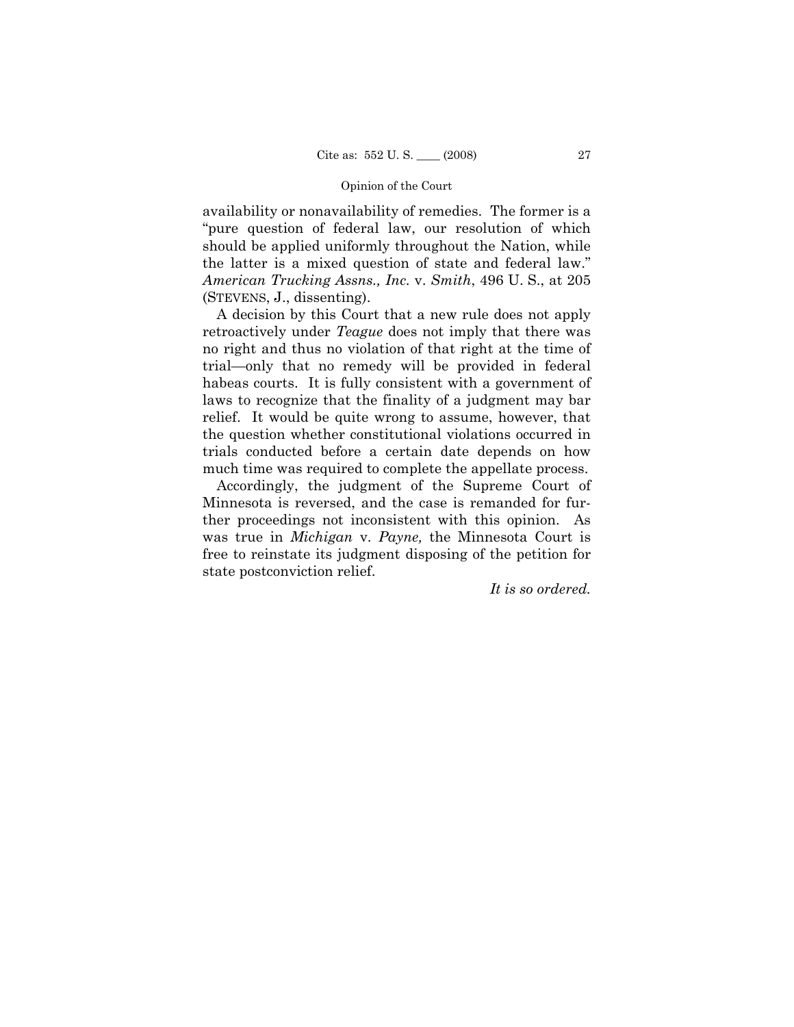availability or nonavailability of remedies. The former is a "pure question of federal law, our resolution of which should be applied uniformly throughout the Nation, while the latter is a mixed question of state and federal law." *American Trucking Assns., Inc.* v. *Smith*, 496 U. S., at 205 (STEVENS, J., dissenting).

 A decision by this Court that a new rule does not apply retroactively under *Teague* does not imply that there was no right and thus no violation of that right at the time of trial—only that no remedy will be provided in federal habeas courts. It is fully consistent with a government of laws to recognize that the finality of a judgment may bar relief. It would be quite wrong to assume, however, that the question whether constitutional violations occurred in trials conducted before a certain date depends on how much time was required to complete the appellate process.

 Accordingly, the judgment of the Supreme Court of Minnesota is reversed, and the case is remanded for further proceedings not inconsistent with this opinion. As was true in *Michigan* v. *Payne,* the Minnesota Court is free to reinstate its judgment disposing of the petition for state postconviction relief.

*It is so ordered.*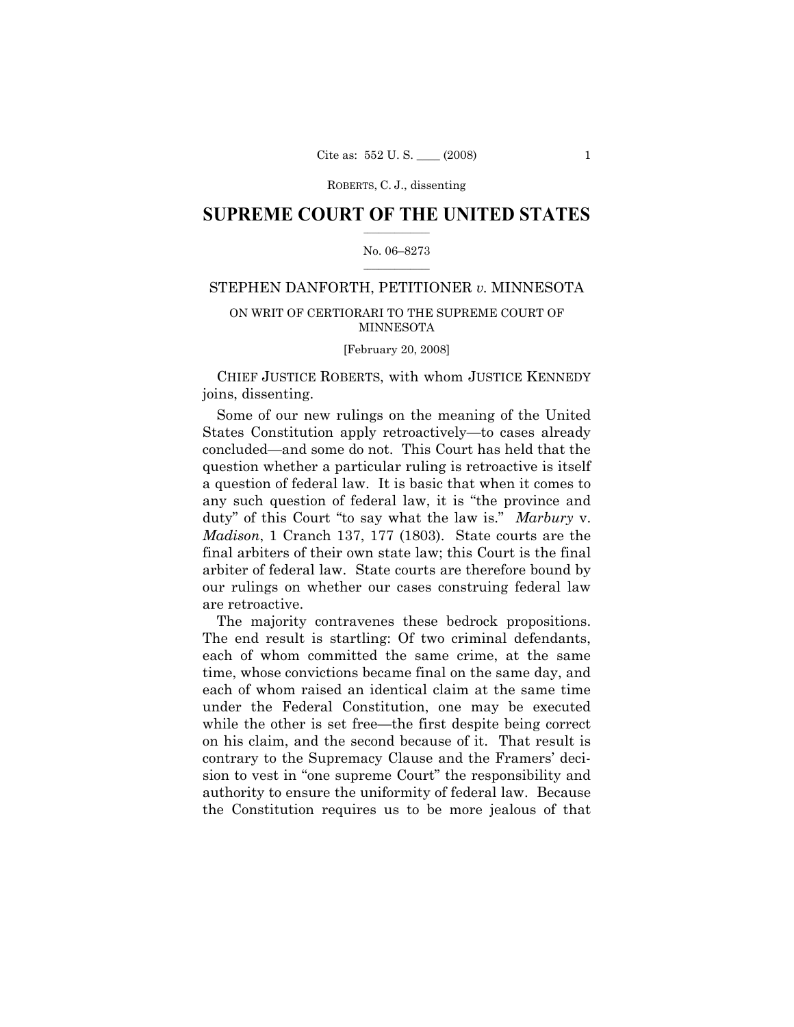### **SUPREME COURT OF THE UNITED STATES**  $\frac{1}{2}$  ,  $\frac{1}{2}$  ,  $\frac{1}{2}$  ,  $\frac{1}{2}$  ,  $\frac{1}{2}$  ,  $\frac{1}{2}$  ,  $\frac{1}{2}$

### No. 06–8273  $\frac{1}{2}$  ,  $\frac{1}{2}$  ,  $\frac{1}{2}$  ,  $\frac{1}{2}$  ,  $\frac{1}{2}$  ,  $\frac{1}{2}$

# STEPHEN DANFORTH, PETITIONER *v.* MINNESOTA

# ON WRIT OF CERTIORARI TO THE SUPREME COURT OF MINNESOTA

[February 20, 2008]

 CHIEF JUSTICE ROBERTS, with whom JUSTICE KENNEDY joins, dissenting.

 Some of our new rulings on the meaning of the United States Constitution apply retroactively—to cases already concluded—and some do not. This Court has held that the question whether a particular ruling is retroactive is itself a question of federal law. It is basic that when it comes to any such question of federal law, it is "the province and duty" of this Court "to say what the law is." *Marbury* v. *Madison*, 1 Cranch 137, 177 (1803). State courts are the final arbiters of their own state law; this Court is the final arbiter of federal law. State courts are therefore bound by our rulings on whether our cases construing federal law are retroactive.

 The majority contravenes these bedrock propositions. The end result is startling: Of two criminal defendants, each of whom committed the same crime, at the same time, whose convictions became final on the same day, and each of whom raised an identical claim at the same time under the Federal Constitution, one may be executed while the other is set free—the first despite being correct on his claim, and the second because of it. That result is contrary to the Supremacy Clause and the Framers' decision to vest in "one supreme Court" the responsibility and authority to ensure the uniformity of federal law. Because the Constitution requires us to be more jealous of that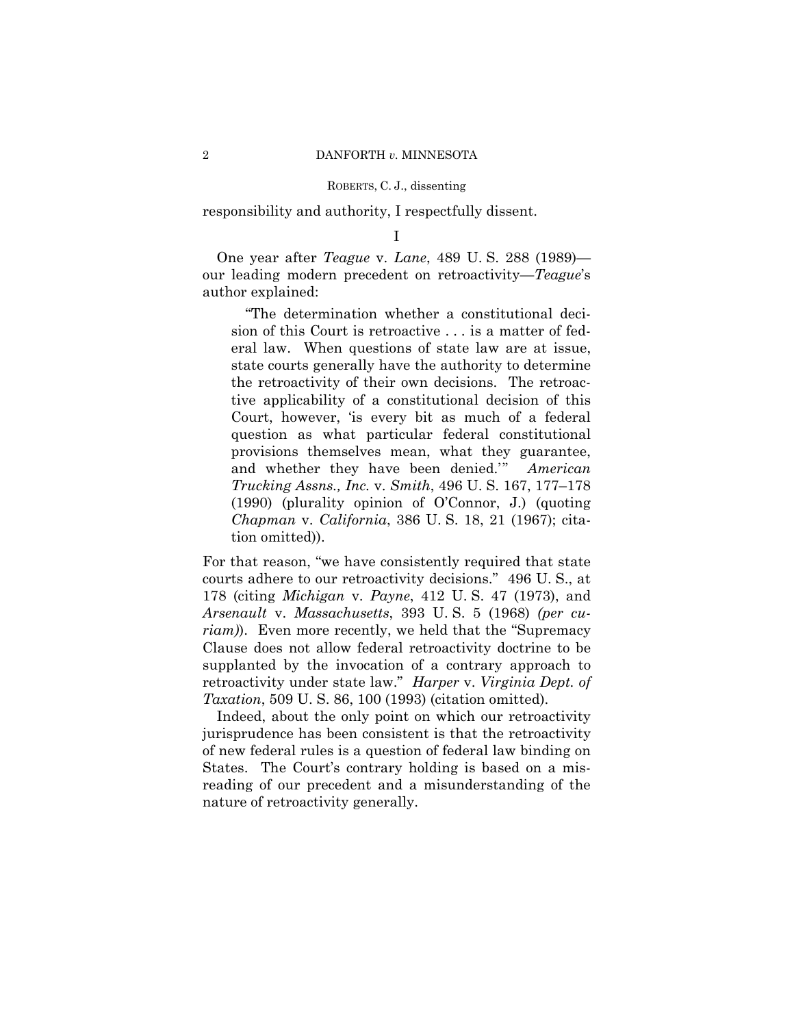responsibility and authority, I respectfully dissent.

I

 One year after *Teague* v. *Lane*, 489 U. S. 288 (1989) our leading modern precedent on retroactivity—*Teague*'s author explained:

 "The determination whether a constitutional decision of this Court is retroactive . . . is a matter of federal law. When questions of state law are at issue, state courts generally have the authority to determine the retroactivity of their own decisions. The retroactive applicability of a constitutional decision of this Court, however, 'is every bit as much of a federal question as what particular federal constitutional provisions themselves mean, what they guarantee, and whether they have been denied.'" *American Trucking Assns., Inc.* v. *Smith*, 496 U. S. 167, 177–178 (1990) (plurality opinion of O'Connor, J.) (quoting *Chapman* v. *California*, 386 U. S. 18, 21 (1967); citation omitted)).

For that reason, "we have consistently required that state courts adhere to our retroactivity decisions." 496 U. S., at 178 (citing *Michigan* v. *Payne*, 412 U. S. 47 (1973), and *Arsenault* v. *Massachusetts*, 393 U. S. 5 (1968) *(per curiam)*). Even more recently, we held that the "Supremacy Clause does not allow federal retroactivity doctrine to be supplanted by the invocation of a contrary approach to retroactivity under state law." *Harper* v. *Virginia Dept. of Taxation*, 509 U. S. 86, 100 (1993) (citation omitted).

 Indeed, about the only point on which our retroactivity jurisprudence has been consistent is that the retroactivity of new federal rules is a question of federal law binding on States. The Court's contrary holding is based on a misreading of our precedent and a misunderstanding of the nature of retroactivity generally.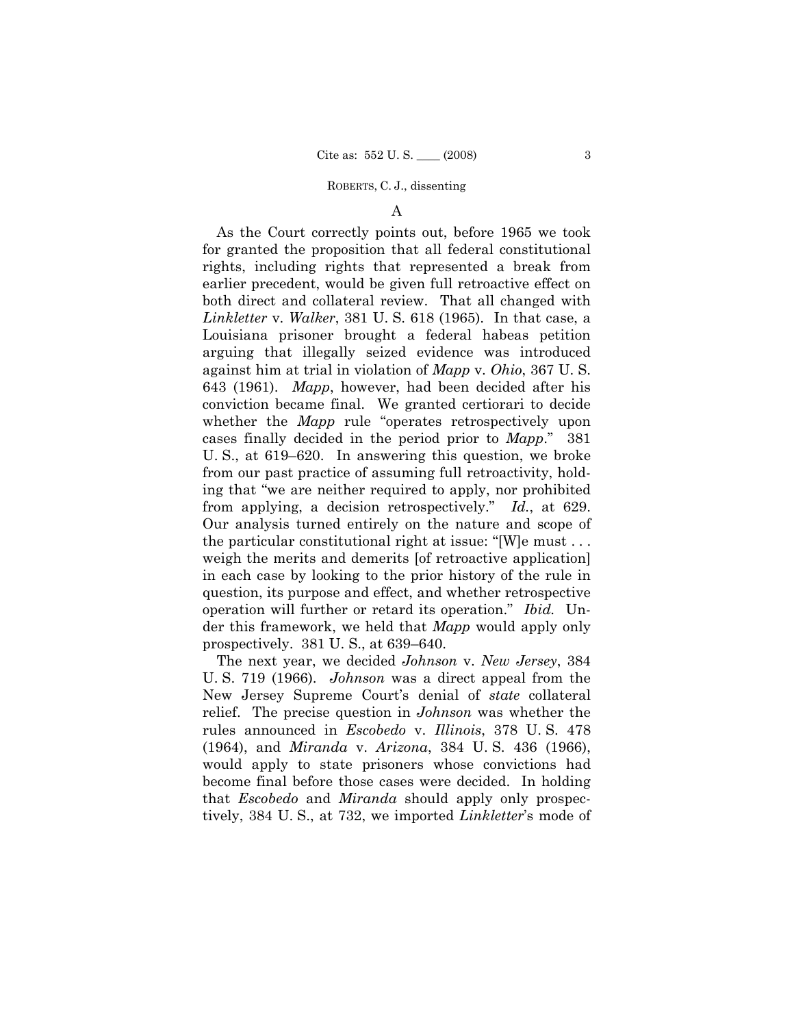A

 As the Court correctly points out, before 1965 we took for granted the proposition that all federal constitutional rights, including rights that represented a break from earlier precedent, would be given full retroactive effect on both direct and collateral review. That all changed with *Linkletter* v. *Walker*, 381 U. S. 618 (1965). In that case, a Louisiana prisoner brought a federal habeas petition arguing that illegally seized evidence was introduced against him at trial in violation of *Mapp* v. *Ohio*, 367 U. S. 643 (1961). *Mapp*, however, had been decided after his conviction became final. We granted certiorari to decide whether the *Mapp* rule "operates retrospectively upon cases finally decided in the period prior to *Mapp*." 381 U. S., at 619–620. In answering this question, we broke from our past practice of assuming full retroactivity, holding that "we are neither required to apply, nor prohibited from applying, a decision retrospectively." *Id.*, at 629. Our analysis turned entirely on the nature and scope of the particular constitutional right at issue: "[W]e must . . . weigh the merits and demerits [of retroactive application] in each case by looking to the prior history of the rule in question, its purpose and effect, and whether retrospective operation will further or retard its operation." *Ibid.* Under this framework, we held that *Mapp* would apply only prospectively. 381 U. S., at 639–640.

 The next year, we decided *Johnson* v. *New Jersey*, 384 U. S. 719 (1966). *Johnson* was a direct appeal from the New Jersey Supreme Court's denial of *state* collateral relief. The precise question in *Johnson* was whether the rules announced in *Escobedo* v. *Illinois*, 378 U. S. 478 (1964), and *Miranda* v. *Arizona*, 384 U. S. 436 (1966), would apply to state prisoners whose convictions had become final before those cases were decided. In holding that *Escobedo* and *Miranda* should apply only prospectively, 384 U. S., at 732, we imported *Linkletter*'s mode of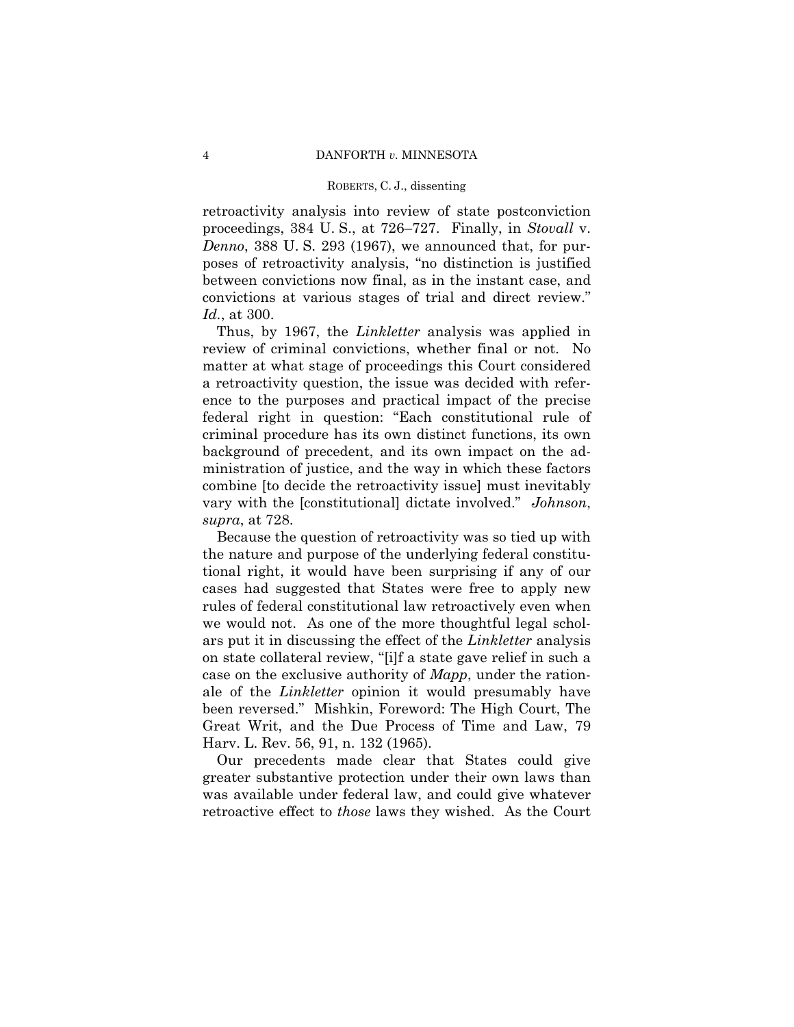retroactivity analysis into review of state postconviction proceedings, 384 U. S., at 726–727. Finally, in *Stovall* v. *Denno*, 388 U. S. 293 (1967), we announced that, for purposes of retroactivity analysis, "no distinction is justified between convictions now final, as in the instant case, and convictions at various stages of trial and direct review." *Id.*, at 300.

 Thus, by 1967, the *Linkletter* analysis was applied in review of criminal convictions, whether final or not. No matter at what stage of proceedings this Court considered a retroactivity question, the issue was decided with reference to the purposes and practical impact of the precise federal right in question: "Each constitutional rule of criminal procedure has its own distinct functions, its own background of precedent, and its own impact on the administration of justice, and the way in which these factors combine [to decide the retroactivity issue] must inevitably vary with the [constitutional] dictate involved." *Johnson*, *supra*, at 728.

 Because the question of retroactivity was so tied up with the nature and purpose of the underlying federal constitutional right, it would have been surprising if any of our cases had suggested that States were free to apply new rules of federal constitutional law retroactively even when we would not. As one of the more thoughtful legal scholars put it in discussing the effect of the *Linkletter* analysis on state collateral review, "[i]f a state gave relief in such a case on the exclusive authority of *Mapp*, under the rationale of the *Linkletter* opinion it would presumably have been reversed." Mishkin, Foreword: The High Court, The Great Writ, and the Due Process of Time and Law, 79 Harv. L. Rev. 56, 91, n. 132 (1965).

 Our precedents made clear that States could give greater substantive protection under their own laws than was available under federal law, and could give whatever retroactive effect to *those* laws they wished. As the Court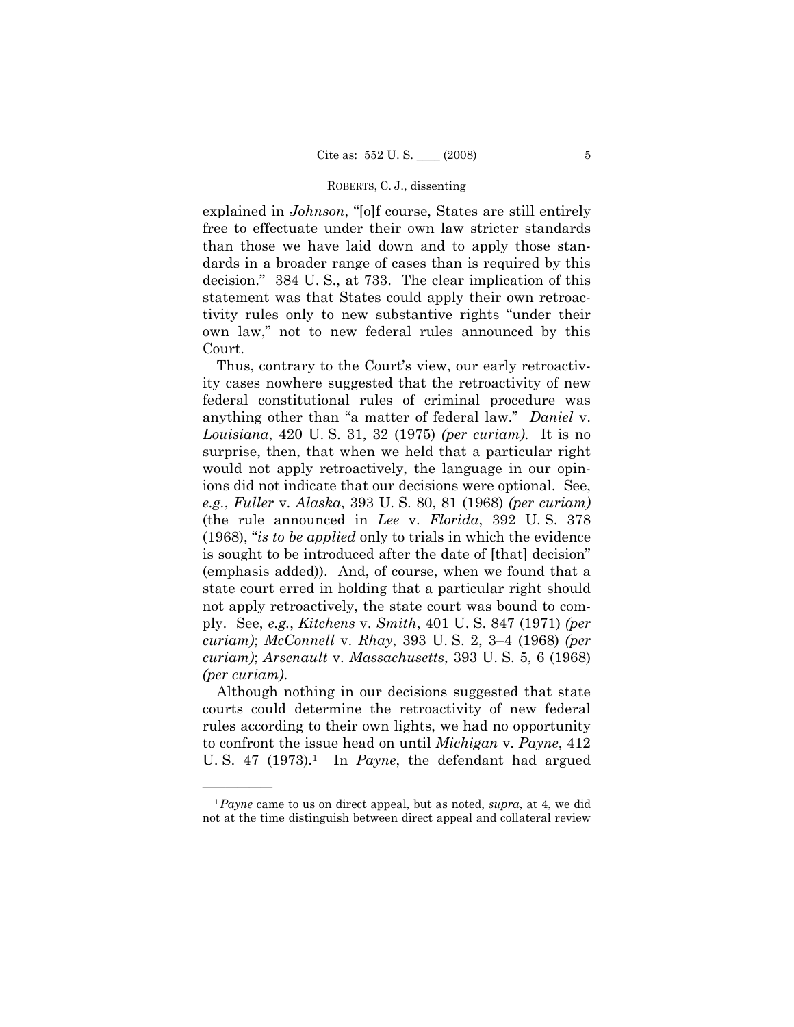explained in *Johnson*, "[o]f course, States are still entirely free to effectuate under their own law stricter standards than those we have laid down and to apply those standards in a broader range of cases than is required by this decision." 384 U. S., at 733. The clear implication of this statement was that States could apply their own retroactivity rules only to new substantive rights "under their own law," not to new federal rules announced by this Court.

 Thus, contrary to the Court's view, our early retroactivity cases nowhere suggested that the retroactivity of new federal constitutional rules of criminal procedure was anything other than "a matter of federal law." *Daniel* v. *Louisiana*, 420 U. S. 31, 32 (1975) *(per curiam)*. It is no surprise, then, that when we held that a particular right would not apply retroactively, the language in our opinions did not indicate that our decisions were optional. See, *e.g.*, *Fuller* v. *Alaska*, 393 U. S. 80, 81 (1968) *(per curiam)* (the rule announced in *Lee* v. *Florida*, 392 U. S. 378 (1968), "*is to be applied* only to trials in which the evidence is sought to be introduced after the date of [that] decision" (emphasis added)). And, of course, when we found that a state court erred in holding that a particular right should not apply retroactively, the state court was bound to comply. See, *e.g.*, *Kitchens* v. *Smith*, 401 U. S. 847 (1971) *(per curiam)*; *McConnell* v. *Rhay*, 393 U. S. 2, 3–4 (1968) *(per curiam)*; *Arsenault* v. *Massachusetts*, 393 U. S. 5, 6 (1968) *(per curiam)*.

Although nothing in our decisions suggested that state courts could determine the retroactivity of new federal rules according to their own lights, we had no opportunity to confront the issue head on until *Michigan* v. *Payne*, 412 U.S. 47 (1973).<sup>1</sup> In *Payne*, the defendant had argued

<sup>1</sup>*Payne* came to us on direct appeal, but as noted, *supra*, at 4, we did not at the time distinguish between direct appeal and collateral review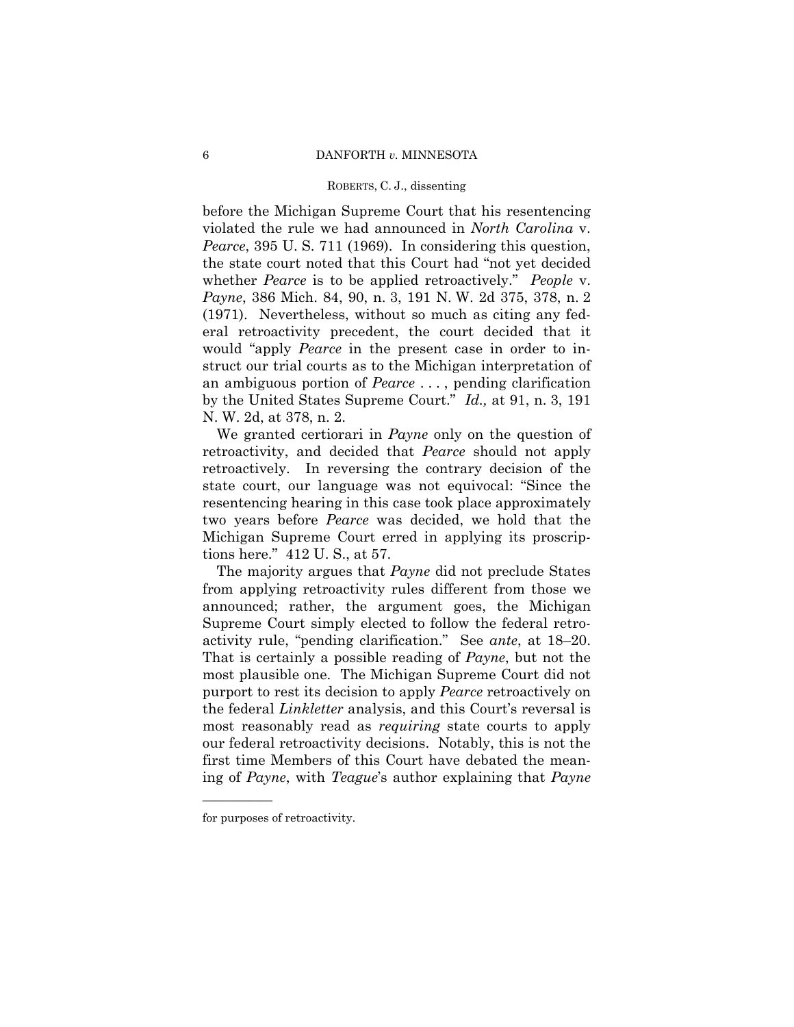before the Michigan Supreme Court that his resentencing violated the rule we had announced in *North Carolina* v. *Pearce*, 395 U. S. 711 (1969). In considering this question, the state court noted that this Court had "not yet decided whether *Pearce* is to be applied retroactively." *People* v. *Payne*, 386 Mich. 84, 90, n. 3, 191 N. W. 2d 375, 378, n. 2 (1971). Nevertheless, without so much as citing any federal retroactivity precedent, the court decided that it would "apply *Pearce* in the present case in order to instruct our trial courts as to the Michigan interpretation of an ambiguous portion of *Pearce* . . . , pending clarification by the United States Supreme Court." *Id.,* at 91, n. 3, 191 N. W. 2d, at 378, n. 2.

 We granted certiorari in *Payne* only on the question of retroactivity, and decided that *Pearce* should not apply retroactively. In reversing the contrary decision of the state court, our language was not equivocal: "Since the resentencing hearing in this case took place approximately two years before *Pearce* was decided, we hold that the Michigan Supreme Court erred in applying its proscriptions here." 412 U. S., at 57.

 The majority argues that *Payne* did not preclude States from applying retroactivity rules different from those we announced; rather, the argument goes, the Michigan Supreme Court simply elected to follow the federal retroactivity rule, "pending clarification." See *ante*, at 18–20. That is certainly a possible reading of *Payne*, but not the most plausible one. The Michigan Supreme Court did not purport to rest its decision to apply *Pearce* retroactively on the federal *Linkletter* analysis, and this Court's reversal is most reasonably read as *requiring* state courts to apply our federal retroactivity decisions. Notably, this is not the first time Members of this Court have debated the meaning of *Payne*, with *Teague*'s author explaining that *Payne*

for purposes of retroactivity.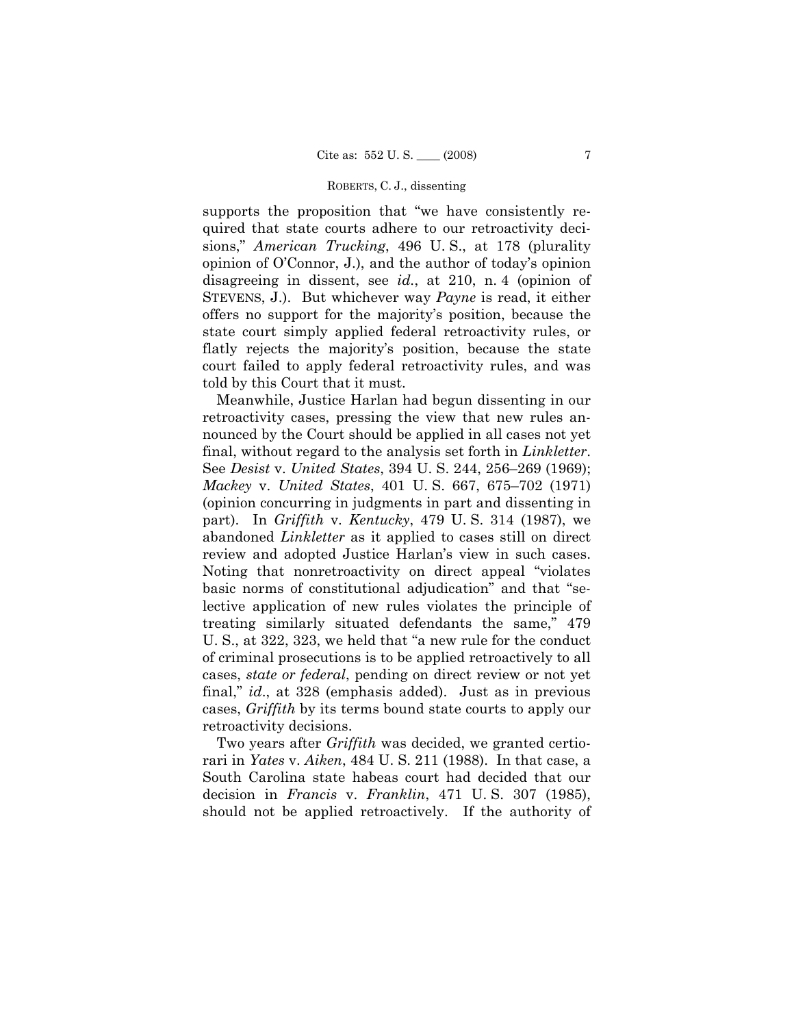supports the proposition that "we have consistently required that state courts adhere to our retroactivity decisions," *American Trucking*, 496 U. S., at 178 (plurality opinion of O'Connor, J.), and the author of today's opinion disagreeing in dissent, see *id.*, at 210, n. 4 (opinion of STEVENS, J.). But whichever way *Payne* is read, it either offers no support for the majority's position, because the state court simply applied federal retroactivity rules, or flatly rejects the majority's position, because the state court failed to apply federal retroactivity rules, and was told by this Court that it must.

 Meanwhile, Justice Harlan had begun dissenting in our retroactivity cases, pressing the view that new rules announced by the Court should be applied in all cases not yet final, without regard to the analysis set forth in *Linkletter*. See *Desist* v. *United States*, 394 U. S. 244, 256–269 (1969); *Mackey* v. *United States*, 401 U. S. 667, 675–702 (1971) (opinion concurring in judgments in part and dissenting in part). In *Griffith* v. *Kentucky*, 479 U. S. 314 (1987), we abandoned *Linkletter* as it applied to cases still on direct review and adopted Justice Harlan's view in such cases. Noting that nonretroactivity on direct appeal "violates basic norms of constitutional adjudication" and that "selective application of new rules violates the principle of treating similarly situated defendants the same," 479 U. S., at 322, 323, we held that "a new rule for the conduct of criminal prosecutions is to be applied retroactively to all cases, *state or federal*, pending on direct review or not yet final," *id*., at 328 (emphasis added). Just as in previous cases, *Griffith* by its terms bound state courts to apply our retroactivity decisions.

 Two years after *Griffith* was decided, we granted certiorari in *Yates* v. *Aiken*, 484 U. S. 211 (1988). In that case, a South Carolina state habeas court had decided that our decision in *Francis* v. *Franklin*, 471 U. S. 307 (1985), should not be applied retroactively. If the authority of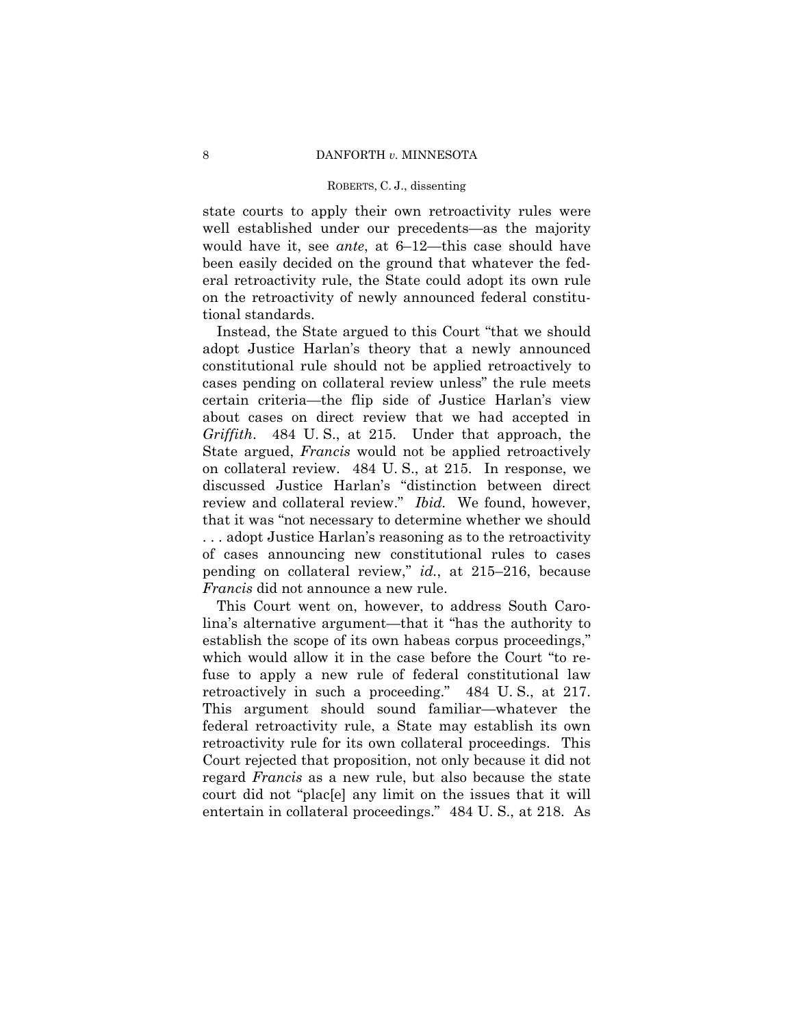state courts to apply their own retroactivity rules were well established under our precedents—as the majority would have it, see *ante*, at 6–12—this case should have been easily decided on the ground that whatever the federal retroactivity rule, the State could adopt its own rule on the retroactivity of newly announced federal constitutional standards.

 Instead, the State argued to this Court "that we should adopt Justice Harlan's theory that a newly announced constitutional rule should not be applied retroactively to cases pending on collateral review unless" the rule meets certain criteria—the flip side of Justice Harlan's view about cases on direct review that we had accepted in *Griffith*. 484 U. S., at 215. Under that approach, the State argued, *Francis* would not be applied retroactively on collateral review. 484 U. S., at 215. In response, we discussed Justice Harlan's "distinction between direct review and collateral review." *Ibid.* We found, however, that it was "not necessary to determine whether we should . . . adopt Justice Harlan's reasoning as to the retroactivity of cases announcing new constitutional rules to cases pending on collateral review," *id.*, at 215–216, because *Francis* did not announce a new rule.

 This Court went on, however, to address South Carolina's alternative argument—that it "has the authority to establish the scope of its own habeas corpus proceedings," which would allow it in the case before the Court "to refuse to apply a new rule of federal constitutional law retroactively in such a proceeding." 484 U. S., at 217. This argument should sound familiar—whatever the federal retroactivity rule, a State may establish its own retroactivity rule for its own collateral proceedings. This Court rejected that proposition, not only because it did not regard *Francis* as a new rule, but also because the state court did not "plac[e] any limit on the issues that it will entertain in collateral proceedings." 484 U. S., at 218. As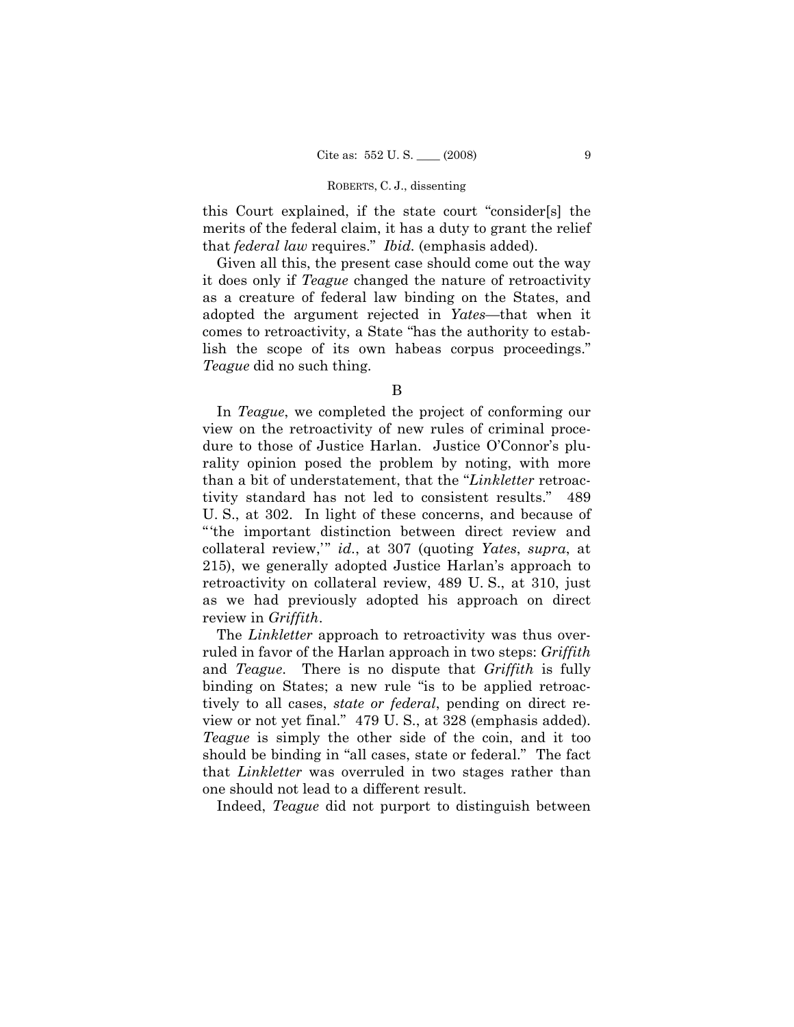this Court explained, if the state court "consider[s] the merits of the federal claim, it has a duty to grant the relief that *federal law* requires." *Ibid.* (emphasis added).

 Given all this, the present case should come out the way it does only if *Teague* changed the nature of retroactivity as a creature of federal law binding on the States, and adopted the argument rejected in *Yates*—that when it comes to retroactivity, a State "has the authority to establish the scope of its own habeas corpus proceedings." *Teague* did no such thing.

 In *Teague*, we completed the project of conforming our view on the retroactivity of new rules of criminal procedure to those of Justice Harlan. Justice O'Connor's plurality opinion posed the problem by noting, with more than a bit of understatement, that the "*Linkletter* retroactivity standard has not led to consistent results." 489 U. S., at 302. In light of these concerns, and because of "'the important distinction between direct review and collateral review,'" *id.*, at 307 (quoting *Yates*, *supra*, at 215), we generally adopted Justice Harlan's approach to retroactivity on collateral review, 489 U. S., at 310, just as we had previously adopted his approach on direct review in *Griffith*.

 The *Linkletter* approach to retroactivity was thus overruled in favor of the Harlan approach in two steps: *Griffith* and *Teague*. There is no dispute that *Griffith* is fully binding on States; a new rule "is to be applied retroactively to all cases, *state or federal*, pending on direct review or not yet final." 479 U. S., at 328 (emphasis added). *Teague* is simply the other side of the coin, and it too should be binding in "all cases, state or federal." The fact that *Linkletter* was overruled in two stages rather than one should not lead to a different result.

Indeed, *Teague* did not purport to distinguish between

B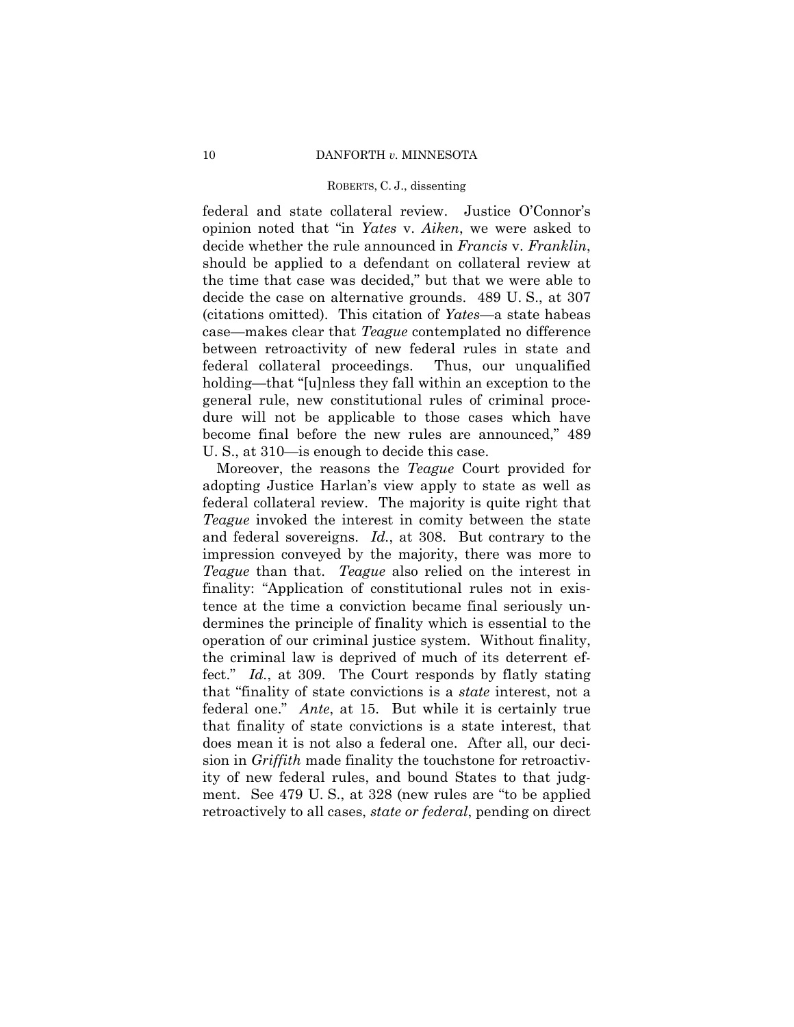federal and state collateral review. Justice O'Connor's opinion noted that "in *Yates* v. *Aiken*, we were asked to decide whether the rule announced in *Francis* v. *Franklin*, should be applied to a defendant on collateral review at the time that case was decided," but that we were able to decide the case on alternative grounds. 489 U. S., at 307 (citations omitted). This citation of *Yates*—a state habeas case—makes clear that *Teague* contemplated no difference between retroactivity of new federal rules in state and federal collateral proceedings. Thus, our unqualified holding—that "[u]nless they fall within an exception to the general rule, new constitutional rules of criminal procedure will not be applicable to those cases which have become final before the new rules are announced," 489 U. S., at 310—is enough to decide this case.

 Moreover, the reasons the *Teague* Court provided for adopting Justice Harlan's view apply to state as well as federal collateral review. The majority is quite right that *Teague* invoked the interest in comity between the state and federal sovereigns. *Id.*, at 308. But contrary to the impression conveyed by the majority, there was more to *Teague* than that. *Teague* also relied on the interest in finality: "Application of constitutional rules not in existence at the time a conviction became final seriously undermines the principle of finality which is essential to the operation of our criminal justice system. Without finality, the criminal law is deprived of much of its deterrent effect." *Id.*, at 309. The Court responds by flatly stating that "finality of state convictions is a *state* interest, not a federal one." *Ante*, at 15. But while it is certainly true that finality of state convictions is a state interest, that does mean it is not also a federal one. After all, our decision in *Griffith* made finality the touchstone for retroactivity of new federal rules, and bound States to that judgment. See 479 U. S., at 328 (new rules are "to be applied retroactively to all cases, *state or federal*, pending on direct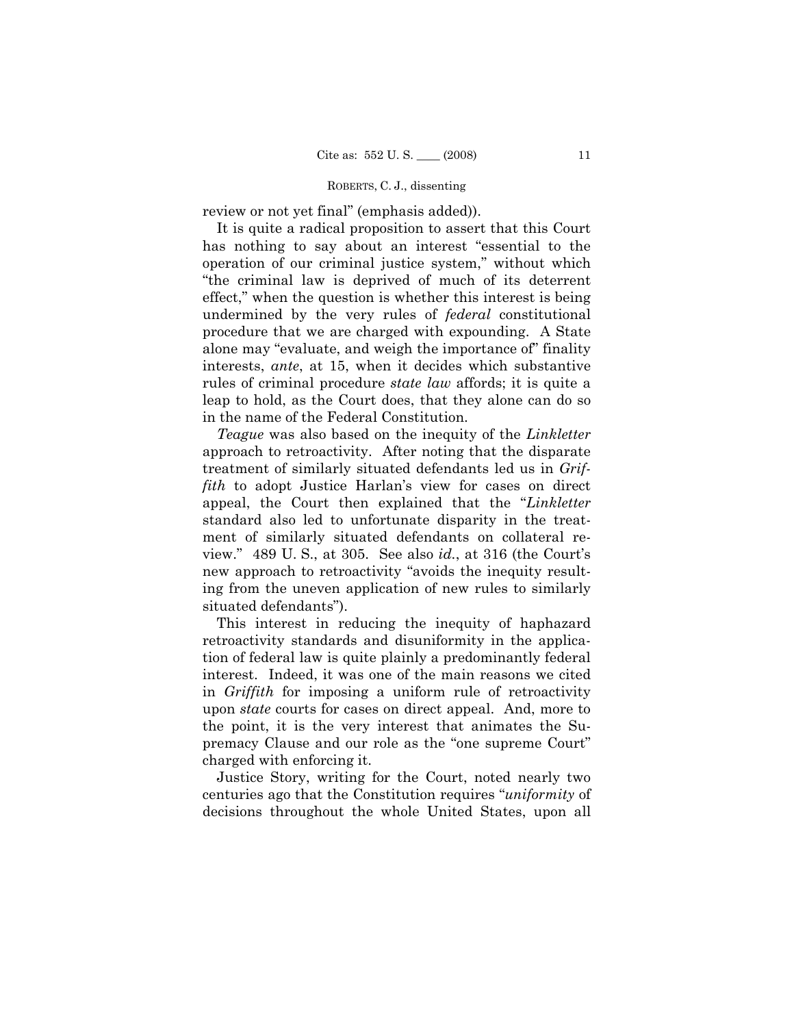review or not yet final" (emphasis added)).

 It is quite a radical proposition to assert that this Court has nothing to say about an interest "essential to the operation of our criminal justice system," without which "the criminal law is deprived of much of its deterrent effect," when the question is whether this interest is being undermined by the very rules of *federal* constitutional procedure that we are charged with expounding. A State alone may "evaluate, and weigh the importance of" finality interests, *ante*, at 15, when it decides which substantive rules of criminal procedure *state law* affords; it is quite a leap to hold, as the Court does, that they alone can do so in the name of the Federal Constitution.

*Teague* was also based on the inequity of the *Linkletter* approach to retroactivity. After noting that the disparate treatment of similarly situated defendants led us in *Griffith* to adopt Justice Harlan's view for cases on direct appeal, the Court then explained that the "*Linkletter* standard also led to unfortunate disparity in the treatment of similarly situated defendants on collateral review." 489 U. S., at 305. See also *id.*, at 316 (the Court's new approach to retroactivity "avoids the inequity resulting from the uneven application of new rules to similarly situated defendants").

 This interest in reducing the inequity of haphazard retroactivity standards and disuniformity in the application of federal law is quite plainly a predominantly federal interest. Indeed, it was one of the main reasons we cited in *Griffith* for imposing a uniform rule of retroactivity upon *state* courts for cases on direct appeal. And, more to the point, it is the very interest that animates the Supremacy Clause and our role as the "one supreme Court" charged with enforcing it.

 Justice Story, writing for the Court, noted nearly two centuries ago that the Constitution requires "*uniformity* of decisions throughout the whole United States, upon all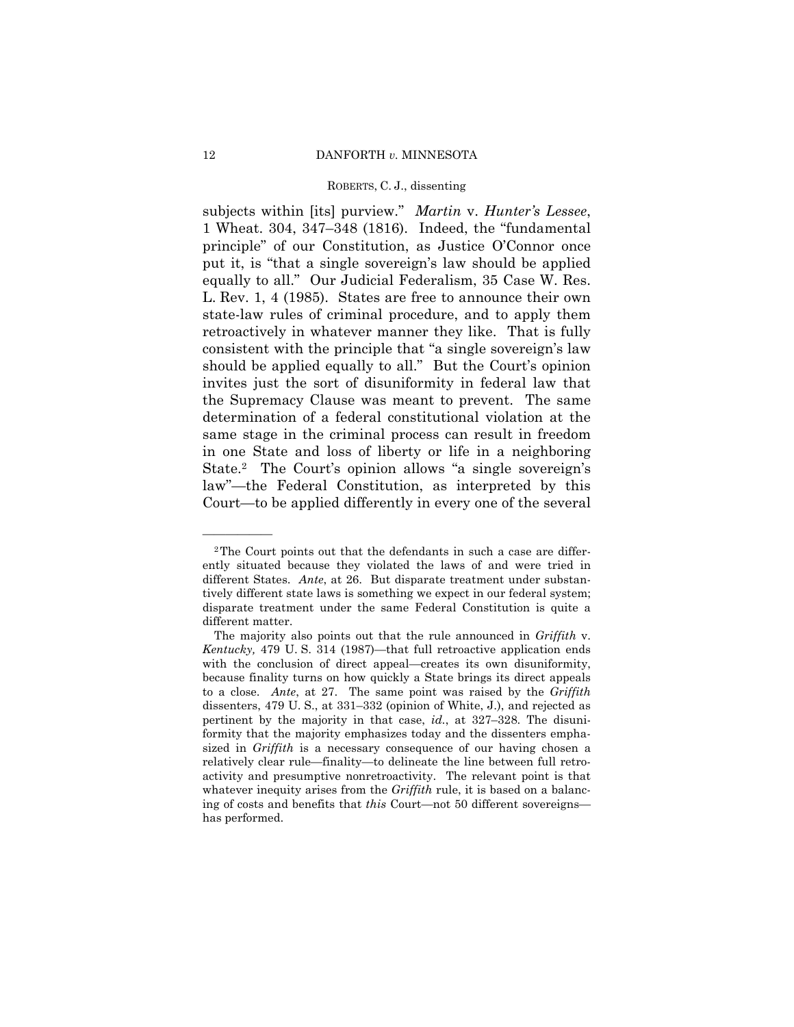subjects within [its] purview." *Martin* v. *Hunter's Lessee*, 1 Wheat. 304, 347–348 (1816). Indeed, the "fundamental principle" of our Constitution, as Justice O'Connor once put it, is "that a single sovereign's law should be applied equally to all." Our Judicial Federalism, 35 Case W. Res. L. Rev. 1, 4 (1985). States are free to announce their own state-law rules of criminal procedure, and to apply them retroactively in whatever manner they like. That is fully consistent with the principle that "a single sovereign's law should be applied equally to all." But the Court's opinion invites just the sort of disuniformity in federal law that the Supremacy Clause was meant to prevent. The same determination of a federal constitutional violation at the same stage in the criminal process can result in freedom in one State and loss of liberty or life in a neighboring State.2 The Court's opinion allows "a single sovereign's law"—the Federal Constitution, as interpreted by this Court—to be applied differently in every one of the several

<sup>2</sup>The Court points out that the defendants in such a case are differently situated because they violated the laws of and were tried in different States. *Ante*, at 26. But disparate treatment under substantively different state laws is something we expect in our federal system; disparate treatment under the same Federal Constitution is quite a different matter.

The majority also points out that the rule announced in *Griffith* v. *Kentucky,* 479 U. S. 314 (1987)—that full retroactive application ends with the conclusion of direct appeal—creates its own disuniformity, because finality turns on how quickly a State brings its direct appeals to a close. *Ante*, at 27. The same point was raised by the *Griffith* dissenters, 479 U. S., at 331–332 (opinion of White, J.), and rejected as pertinent by the majority in that case, *id.*, at 327–328. The disuniformity that the majority emphasizes today and the dissenters emphasized in *Griffith* is a necessary consequence of our having chosen a relatively clear rule—finality—to delineate the line between full retroactivity and presumptive nonretroactivity. The relevant point is that whatever inequity arises from the *Griffith* rule, it is based on a balancing of costs and benefits that *this* Court—not 50 different sovereigns has performed.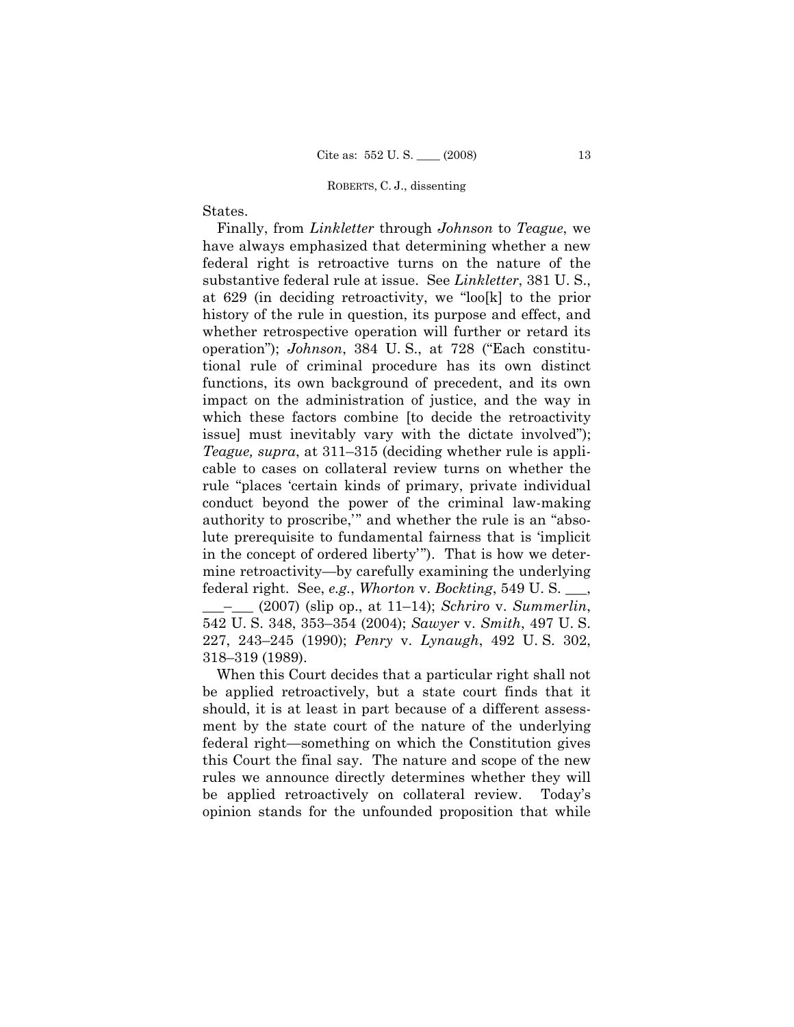# States.

 Finally, from *Linkletter* through *Johnson* to *Teague*, we have always emphasized that determining whether a new federal right is retroactive turns on the nature of the substantive federal rule at issue. See *Linkletter*, 381 U. S., at 629 (in deciding retroactivity, we "loo[k] to the prior history of the rule in question, its purpose and effect, and whether retrospective operation will further or retard its operation"); *Johnson*, 384 U. S., at 728 ("Each constitutional rule of criminal procedure has its own distinct functions, its own background of precedent, and its own impact on the administration of justice, and the way in which these factors combine [to decide the retroactivity issue] must inevitably vary with the dictate involved"); *Teague, supra*, at 311–315 (deciding whether rule is applicable to cases on collateral review turns on whether the rule "places 'certain kinds of primary, private individual conduct beyond the power of the criminal law-making authority to proscribe,'" and whether the rule is an "absolute prerequisite to fundamental fairness that is 'implicit in the concept of ordered liberty'"). That is how we determine retroactivity—by carefully examining the underlying federal right. See, *e.g.*, *Whorton* v. *Bockting*, 549 U. S. \_\_\_, \_\_\_–\_\_\_ (2007) (slip op., at 11–14); *Schriro* v. *Summerlin*, 542 U. S. 348, 353–354 (2004); *Sawyer* v. *Smith*, 497 U. S. 227, 243–245 (1990); *Penry* v. *Lynaugh*, 492 U. S. 302, 318–319 (1989).

 When this Court decides that a particular right shall not be applied retroactively, but a state court finds that it should, it is at least in part because of a different assessment by the state court of the nature of the underlying federal right—something on which the Constitution gives this Court the final say. The nature and scope of the new rules we announce directly determines whether they will be applied retroactively on collateral review. Today's opinion stands for the unfounded proposition that while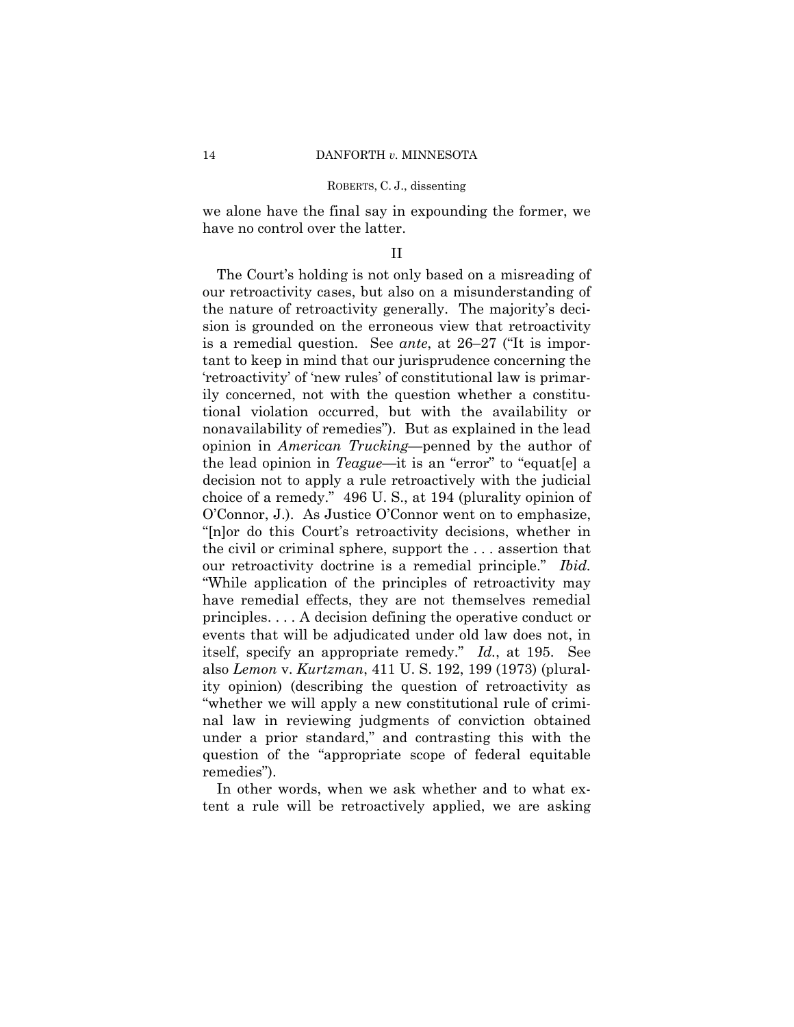we alone have the final say in expounding the former, we have no control over the latter.

### II

 The Court's holding is not only based on a misreading of our retroactivity cases, but also on a misunderstanding of the nature of retroactivity generally. The majority's decision is grounded on the erroneous view that retroactivity is a remedial question. See *ante*, at 26–27 ("It is important to keep in mind that our jurisprudence concerning the 'retroactivity' of 'new rules' of constitutional law is primarily concerned, not with the question whether a constitutional violation occurred, but with the availability or nonavailability of remedies"). But as explained in the lead opinion in *American Trucking*—penned by the author of the lead opinion in *Teague*—it is an "error" to "equat[e] a decision not to apply a rule retroactively with the judicial choice of a remedy." 496 U. S., at 194 (plurality opinion of O'Connor, J.). As Justice O'Connor went on to emphasize, "[n]or do this Court's retroactivity decisions, whether in the civil or criminal sphere, support the . . . assertion that our retroactivity doctrine is a remedial principle." *Ibid.* "While application of the principles of retroactivity may have remedial effects, they are not themselves remedial principles. . . . A decision defining the operative conduct or events that will be adjudicated under old law does not, in itself, specify an appropriate remedy." *Id.*, at 195. See also *Lemon* v. *Kurtzman*, 411 U. S. 192, 199 (1973) (plurality opinion) (describing the question of retroactivity as "whether we will apply a new constitutional rule of criminal law in reviewing judgments of conviction obtained under a prior standard," and contrasting this with the question of the "appropriate scope of federal equitable remedies").

 In other words, when we ask whether and to what extent a rule will be retroactively applied, we are asking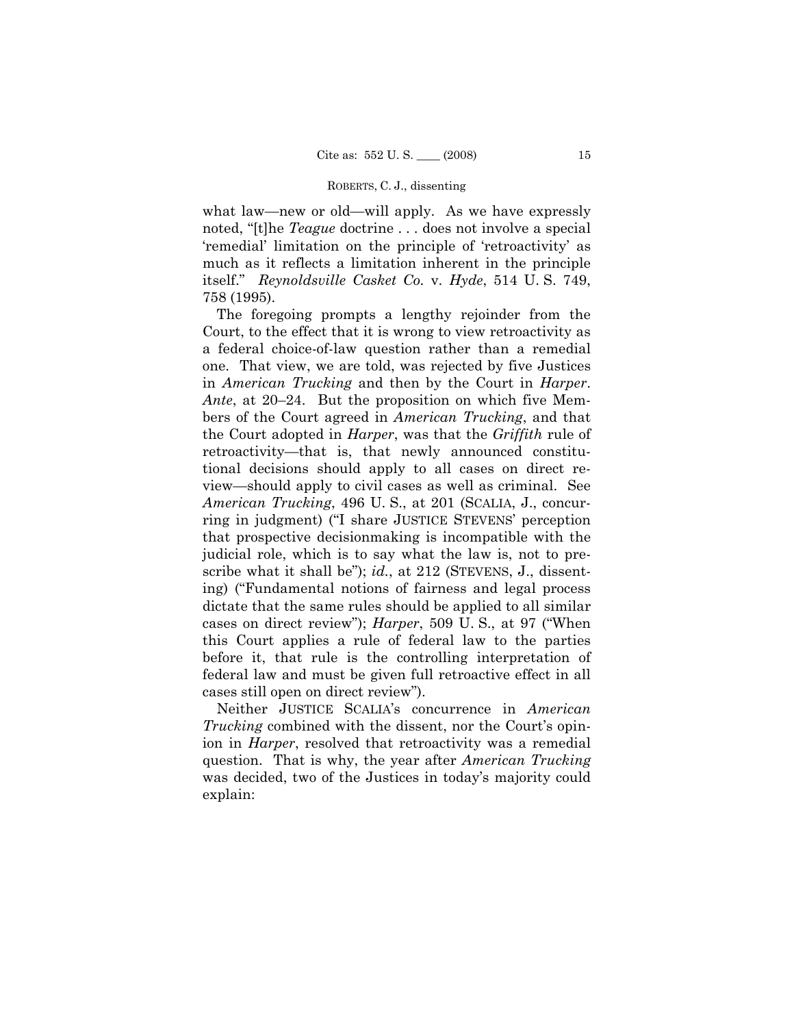what law—new or old—will apply. As we have expressly noted, "[t]he *Teague* doctrine . . . does not involve a special 'remedial' limitation on the principle of 'retroactivity' as much as it reflects a limitation inherent in the principle itself." *Reynoldsville Casket Co.* v. *Hyde*, 514 U. S. 749, 758 (1995).

 The foregoing prompts a lengthy rejoinder from the Court, to the effect that it is wrong to view retroactivity as a federal choice-of-law question rather than a remedial one. That view, we are told, was rejected by five Justices in *American Trucking* and then by the Court in *Harper*. *Ante*, at 20–24. But the proposition on which five Members of the Court agreed in *American Trucking*, and that the Court adopted in *Harper*, was that the *Griffith* rule of retroactivity—that is, that newly announced constitutional decisions should apply to all cases on direct review—should apply to civil cases as well as criminal. See *American Trucking*, 496 U. S., at 201 (SCALIA, J., concurring in judgment) ("I share JUSTICE STEVENS' perception that prospective decisionmaking is incompatible with the judicial role, which is to say what the law is, not to prescribe what it shall be"); *id.*, at 212 (STEVENS, J., dissenting) ("Fundamental notions of fairness and legal process dictate that the same rules should be applied to all similar cases on direct review"); *Harper*, 509 U. S., at 97 ("When this Court applies a rule of federal law to the parties before it, that rule is the controlling interpretation of federal law and must be given full retroactive effect in all cases still open on direct review").

 Neither JUSTICE SCALIA's concurrence in *American Trucking* combined with the dissent, nor the Court's opinion in *Harper*, resolved that retroactivity was a remedial question. That is why, the year after *American Trucking*  was decided, two of the Justices in today's majority could explain: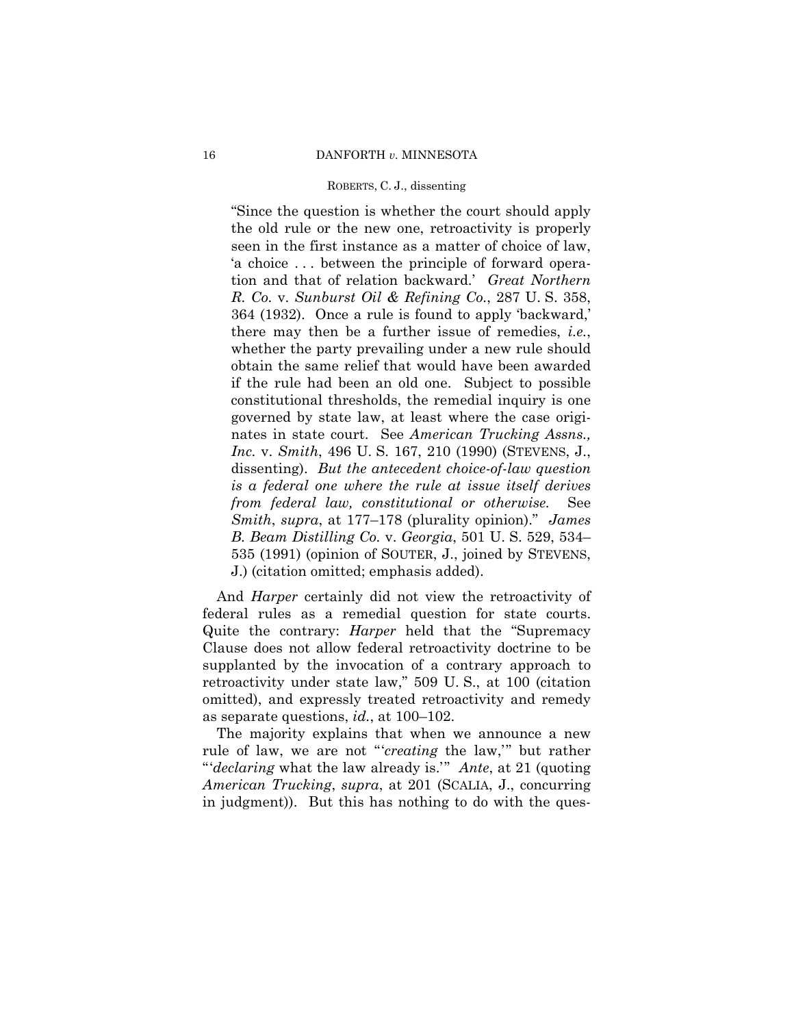"Since the question is whether the court should apply the old rule or the new one, retroactivity is properly seen in the first instance as a matter of choice of law, 'a choice . . . between the principle of forward operation and that of relation backward.' *Great Northern R. Co.* v. *Sunburst Oil & Refining Co.*, 287 U. S. 358, 364 (1932). Once a rule is found to apply 'backward,' there may then be a further issue of remedies, *i.e.*, whether the party prevailing under a new rule should obtain the same relief that would have been awarded if the rule had been an old one. Subject to possible constitutional thresholds, the remedial inquiry is one governed by state law, at least where the case originates in state court. See *American Trucking Assns., Inc.* v. *Smith*, 496 U. S. 167, 210 (1990) (STEVENS, J., dissenting). *But the antecedent choice-of-law question is a federal one where the rule at issue itself derives from federal law, constitutional or otherwise.* See *Smith*, *supra*, at 177–178 (plurality opinion)." *James B. Beam Distilling Co.* v. *Georgia*, 501 U. S. 529, 534– 535 (1991) (opinion of SOUTER, J., joined by STEVENS, J.) (citation omitted; emphasis added).

 And *Harper* certainly did not view the retroactivity of federal rules as a remedial question for state courts. Quite the contrary: *Harper* held that the "Supremacy Clause does not allow federal retroactivity doctrine to be supplanted by the invocation of a contrary approach to retroactivity under state law," 509 U. S., at 100 (citation omitted), and expressly treated retroactivity and remedy as separate questions, *id.*, at 100–102.

 The majority explains that when we announce a new rule of law, we are not "'*creating* the law,'" but rather "'*declaring* what the law already is.'" *Ante*, at 21 (quoting *American Trucking*, *supra*, at 201 (SCALIA, J., concurring in judgment)). But this has nothing to do with the ques-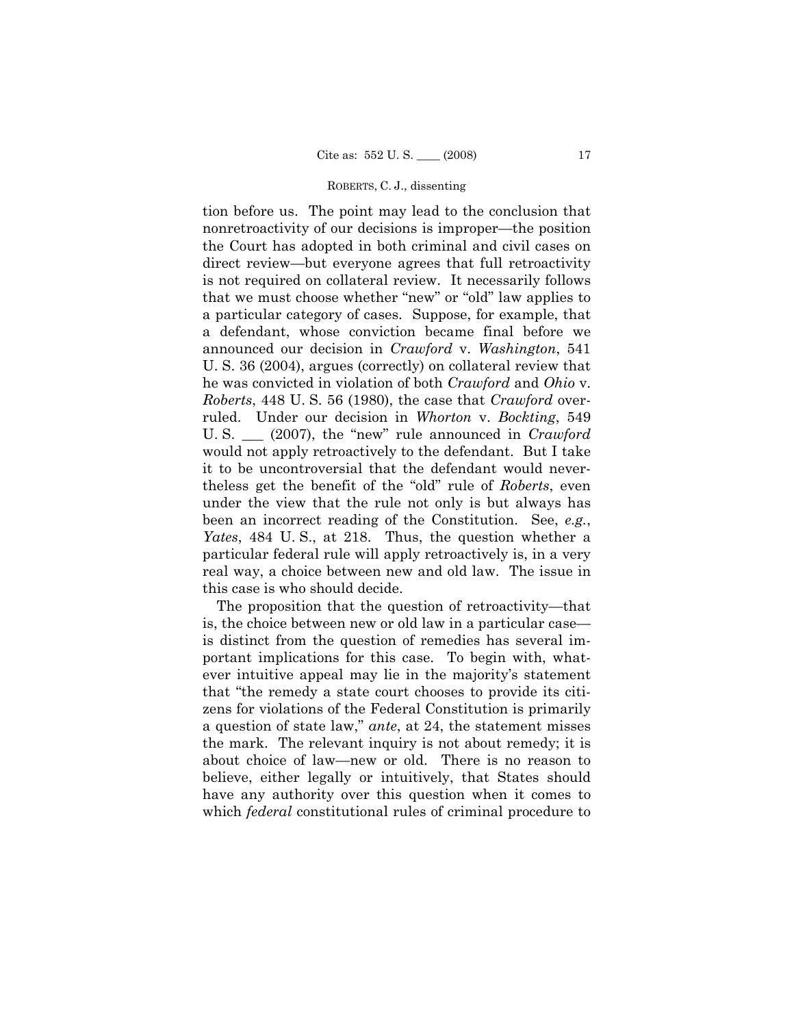tion before us. The point may lead to the conclusion that nonretroactivity of our decisions is improper—the position the Court has adopted in both criminal and civil cases on direct review—but everyone agrees that full retroactivity is not required on collateral review. It necessarily follows that we must choose whether "new" or "old" law applies to a particular category of cases. Suppose, for example, that a defendant, whose conviction became final before we announced our decision in *Crawford* v. *Washington*, 541 U. S. 36 (2004), argues (correctly) on collateral review that he was convicted in violation of both *Crawford* and *Ohio* v. *Roberts*, 448 U. S. 56 (1980), the case that *Crawford* overruled. Under our decision in *Whorton* v. *Bockting*, 549 U. S. \_\_\_ (2007), the "new" rule announced in *Crawford* would not apply retroactively to the defendant. But I take it to be uncontroversial that the defendant would nevertheless get the benefit of the "old" rule of *Roberts*, even under the view that the rule not only is but always has been an incorrect reading of the Constitution. See, *e.g.*, *Yates*, 484 U. S., at 218. Thus, the question whether a particular federal rule will apply retroactively is, in a very real way, a choice between new and old law. The issue in this case is who should decide.

 The proposition that the question of retroactivity—that is, the choice between new or old law in a particular case is distinct from the question of remedies has several important implications for this case. To begin with, whatever intuitive appeal may lie in the majority's statement that "the remedy a state court chooses to provide its citizens for violations of the Federal Constitution is primarily a question of state law," *ante*, at 24, the statement misses the mark. The relevant inquiry is not about remedy; it is about choice of law—new or old. There is no reason to believe, either legally or intuitively, that States should have any authority over this question when it comes to which *federal* constitutional rules of criminal procedure to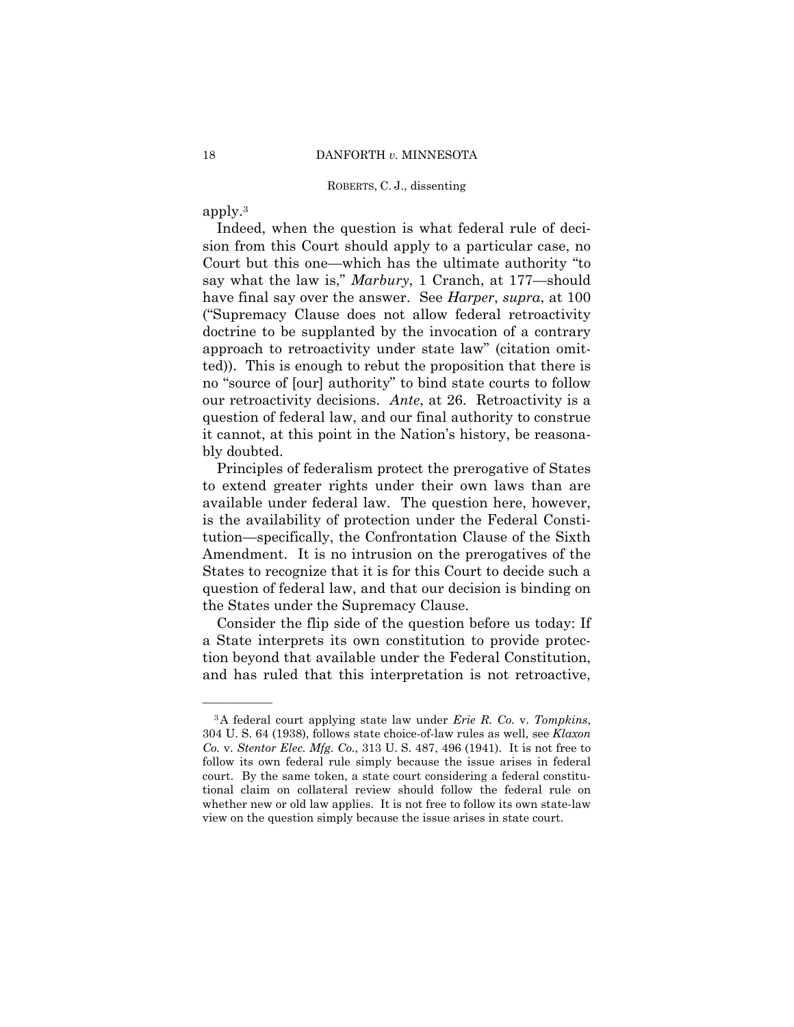apply.3

——————

 Indeed, when the question is what federal rule of decision from this Court should apply to a particular case, no Court but this one—which has the ultimate authority "to say what the law is," *Marbury*, 1 Cranch, at 177—should have final say over the answer. See *Harper*, *supra*, at 100 ("Supremacy Clause does not allow federal retroactivity doctrine to be supplanted by the invocation of a contrary approach to retroactivity under state law" (citation omitted)). This is enough to rebut the proposition that there is no "source of [our] authority" to bind state courts to follow our retroactivity decisions. *Ante*, at 26. Retroactivity is a question of federal law, and our final authority to construe it cannot, at this point in the Nation's history, be reasonably doubted.

 Principles of federalism protect the prerogative of States to extend greater rights under their own laws than are available under federal law. The question here, however, is the availability of protection under the Federal Constitution—specifically, the Confrontation Clause of the Sixth Amendment. It is no intrusion on the prerogatives of the States to recognize that it is for this Court to decide such a question of federal law, and that our decision is binding on the States under the Supremacy Clause.

 Consider the flip side of the question before us today: If a State interprets its own constitution to provide protection beyond that available under the Federal Constitution, and has ruled that this interpretation is not retroactive,

<sup>3</sup>A federal court applying state law under *Erie R. Co.* v. *Tompkins*, 304 U. S. 64 (1938), follows state choice-of-law rules as well, see *Klaxon Co.* v. *Stentor Elec. Mfg. Co.*, 313 U. S. 487, 496 (1941). It is not free to follow its own federal rule simply because the issue arises in federal court. By the same token, a state court considering a federal constitutional claim on collateral review should follow the federal rule on whether new or old law applies. It is not free to follow its own state-law view on the question simply because the issue arises in state court.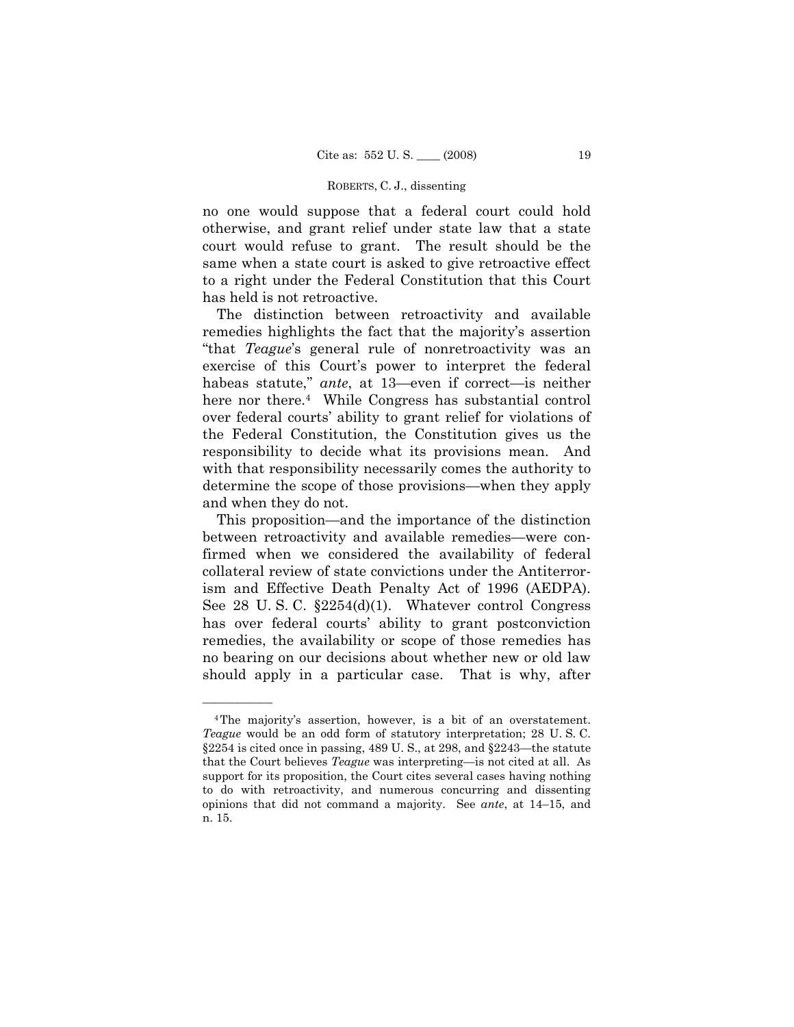no one would suppose that a federal court could hold otherwise, and grant relief under state law that a state court would refuse to grant. The result should be the same when a state court is asked to give retroactive effect to a right under the Federal Constitution that this Court has held is not retroactive.

 The distinction between retroactivity and available remedies highlights the fact that the majority's assertion "that *Teague*'s general rule of nonretroactivity was an exercise of this Court's power to interpret the federal habeas statute," *ante*, at 13—even if correct—is neither here nor there.4 While Congress has substantial control over federal courts' ability to grant relief for violations of the Federal Constitution, the Constitution gives us the responsibility to decide what its provisions mean. And with that responsibility necessarily comes the authority to determine the scope of those provisions—when they apply and when they do not.

 This proposition—and the importance of the distinction between retroactivity and available remedies—were confirmed when we considered the availability of federal collateral review of state convictions under the Antiterrorism and Effective Death Penalty Act of 1996 (AEDPA). See 28 U. S. C. §2254(d)(1). Whatever control Congress has over federal courts' ability to grant postconviction remedies, the availability or scope of those remedies has no bearing on our decisions about whether new or old law should apply in a particular case. That is why, after

<sup>4</sup>The majority's assertion, however, is a bit of an overstatement. *Teague* would be an odd form of statutory interpretation; 28 U. S. C. §2254 is cited once in passing, 489 U. S., at 298, and §2243—the statute that the Court believes *Teague* was interpreting—is not cited at all. As support for its proposition, the Court cites several cases having nothing to do with retroactivity, and numerous concurring and dissenting opinions that did not command a majority. See *ante*, at 14–15, and n. 15.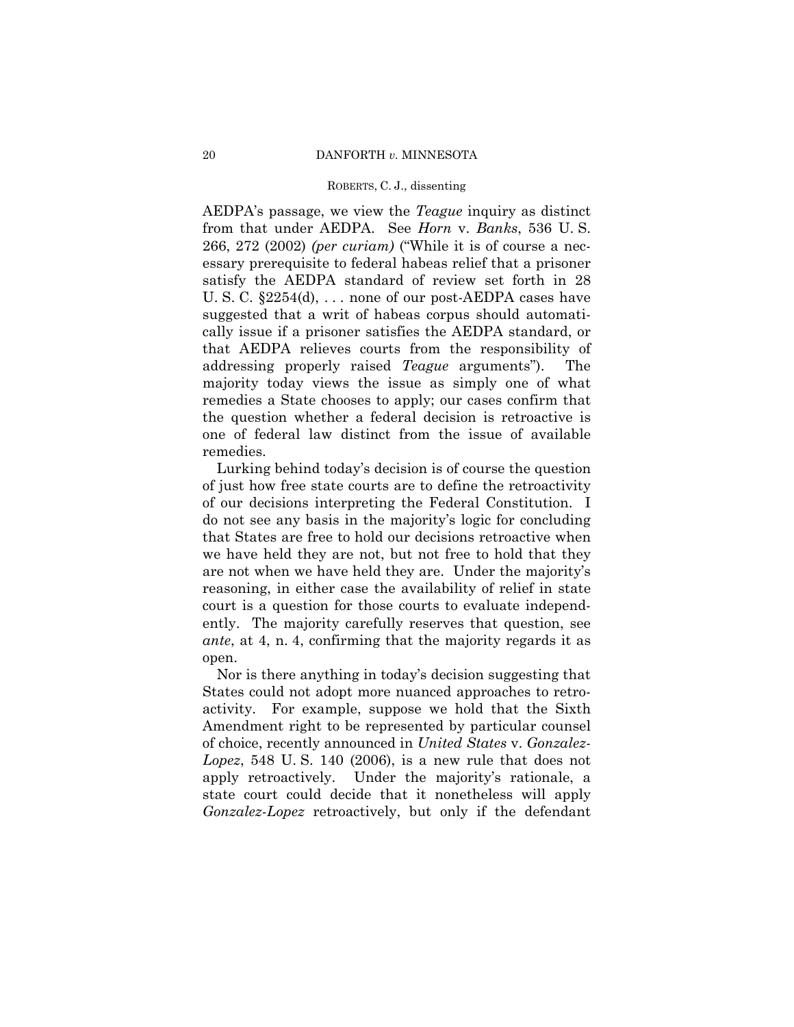AEDPA's passage, we view the *Teague* inquiry as distinct from that under AEDPA. See *Horn* v. *Banks*, 536 U. S. 266, 272 (2002) *(per curiam)* ("While it is of course a necessary prerequisite to federal habeas relief that a prisoner satisfy the AEDPA standard of review set forth in 28 U. S. C. §2254(d), . . . none of our post-AEDPA cases have suggested that a writ of habeas corpus should automatically issue if a prisoner satisfies the AEDPA standard, or that AEDPA relieves courts from the responsibility of addressing properly raised *Teague* arguments"). The majority today views the issue as simply one of what remedies a State chooses to apply; our cases confirm that the question whether a federal decision is retroactive is one of federal law distinct from the issue of available remedies.

 Lurking behind today's decision is of course the question of just how free state courts are to define the retroactivity of our decisions interpreting the Federal Constitution. I do not see any basis in the majority's logic for concluding that States are free to hold our decisions retroactive when we have held they are not, but not free to hold that they are not when we have held they are. Under the majority's reasoning, in either case the availability of relief in state court is a question for those courts to evaluate independently. The majority carefully reserves that question, see *ante*, at 4, n. 4, confirming that the majority regards it as open.

 Nor is there anything in today's decision suggesting that States could not adopt more nuanced approaches to retroactivity. For example, suppose we hold that the Sixth Amendment right to be represented by particular counsel of choice, recently announced in *United States* v. *Gonzalez-Lopez*, 548 U. S. 140 (2006), is a new rule that does not apply retroactively. Under the majority's rationale, a state court could decide that it nonetheless will apply *Gonzalez-Lopez* retroactively, but only if the defendant